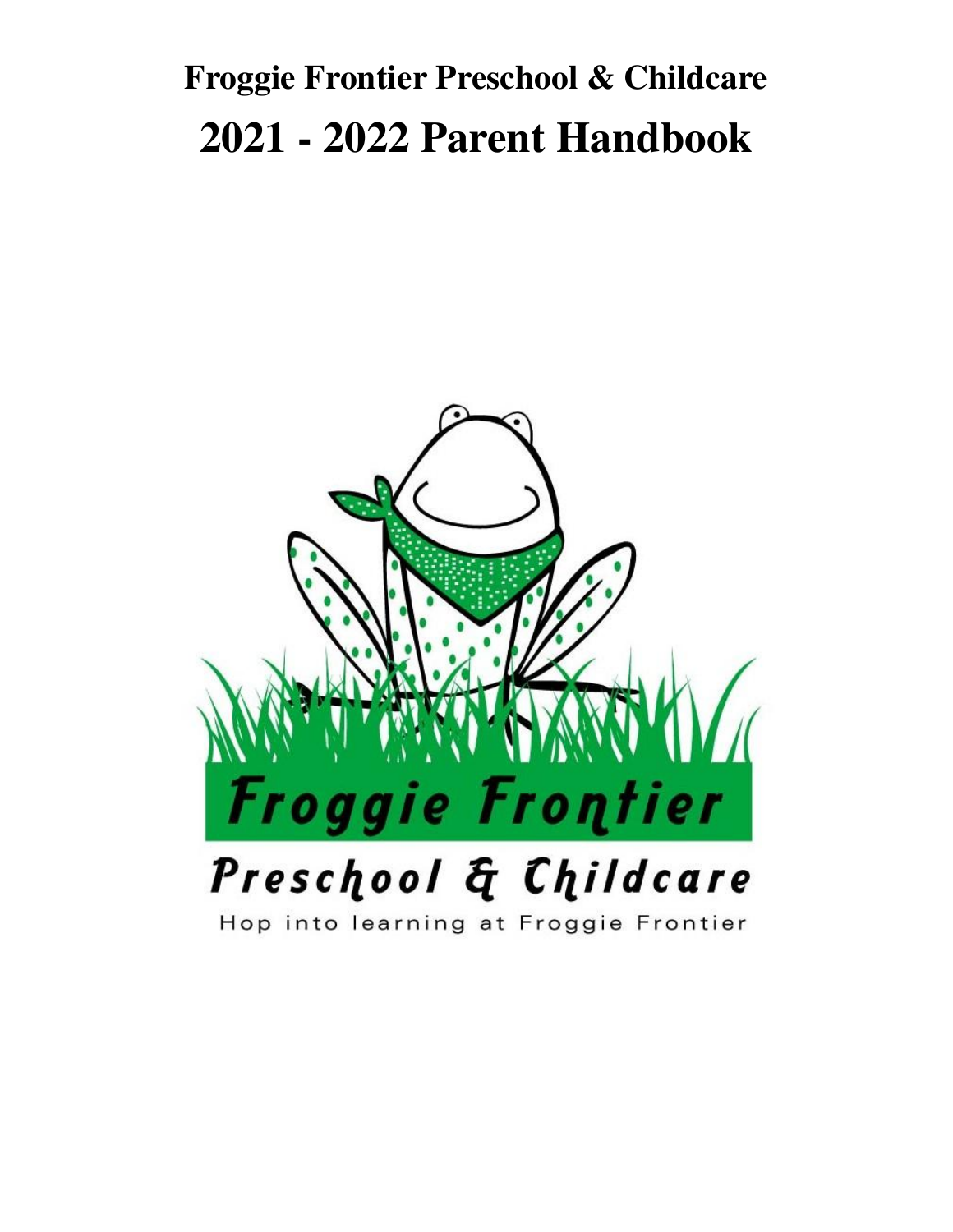# **Froggie Frontier Preschool & Childcare 2021 - 2022 Parent Handbook**



# Hop into learning at Froggie Frontier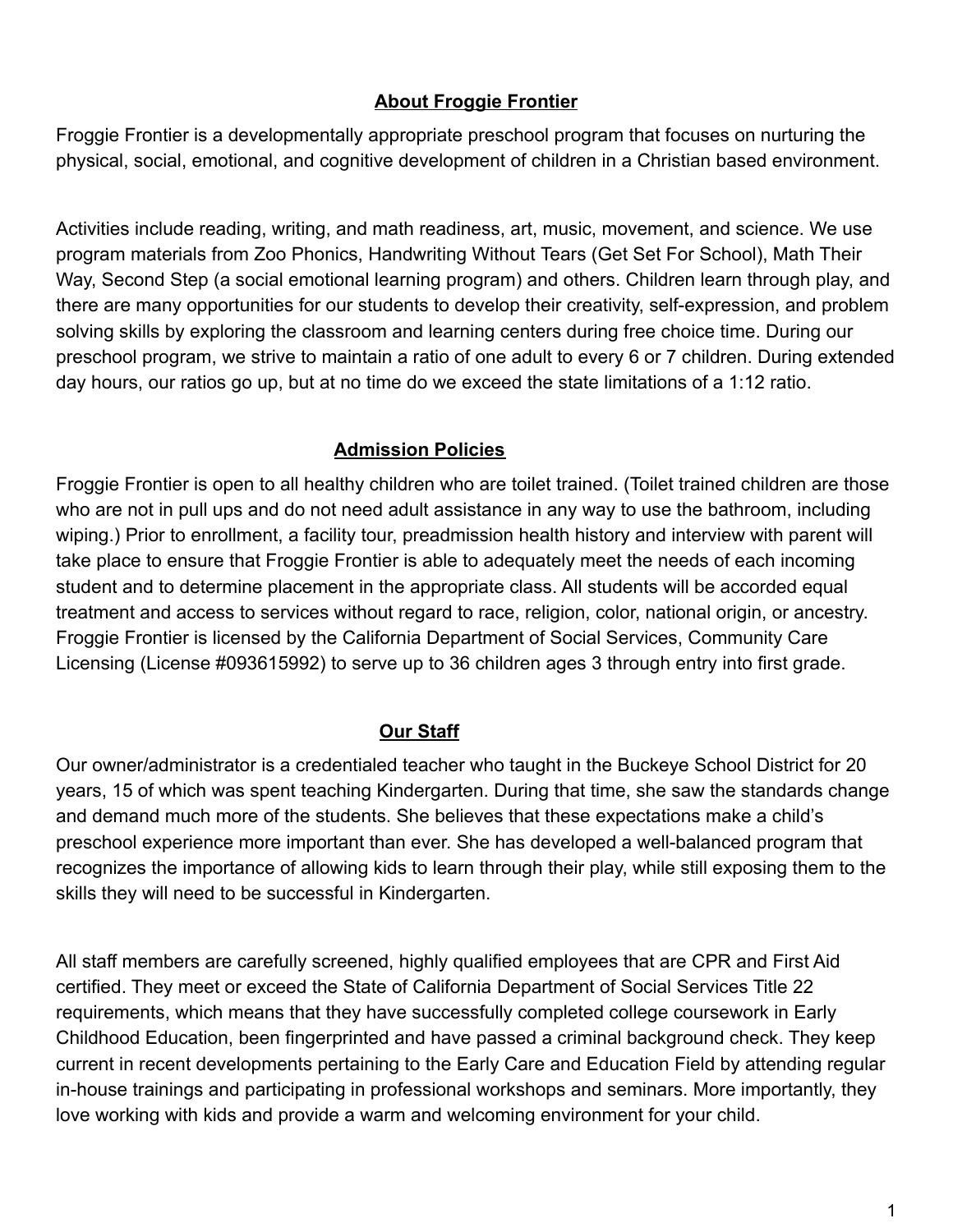## **About Froggie Frontier**

Froggie Frontier is a developmentally appropriate preschool program that focuses on nurturing the physical, social, emotional, and cognitive development of children in a Christian based environment.

Activities include reading, writing, and math readiness, art, music, movement, and science. We use program materials from Zoo Phonics, Handwriting Without Tears (Get Set For School), Math Their Way, Second Step (a social emotional learning program) and others. Children learn through play, and there are many opportunities for our students to develop their creativity, self-expression, and problem solving skills by exploring the classroom and learning centers during free choice time. During our preschool program, we strive to maintain a ratio of one adult to every 6 or 7 children. During extended day hours, our ratios go up, but at no time do we exceed the state limitations of a 1:12 ratio.

## **Admission Policies**

Froggie Frontier is open to all healthy children who are toilet trained. (Toilet trained children are those who are not in pull ups and do not need adult assistance in any way to use the bathroom, including wiping.) Prior to enrollment, a facility tour, preadmission health history and interview with parent will take place to ensure that Froggie Frontier is able to adequately meet the needs of each incoming student and to determine placement in the appropriate class. All students will be accorded equal treatment and access to services without regard to race, religion, color, national origin, or ancestry. Froggie Frontier is licensed by the California Department of Social Services, Community Care Licensing (License #093615992) to serve up to 36 children ages 3 through entry into first grade.

# **Our Staff**

Our owner/administrator is a credentialed teacher who taught in the Buckeye School District for 20 years, 15 of which was spent teaching Kindergarten. During that time, she saw the standards change and demand much more of the students. She believes that these expectations make a child's preschool experience more important than ever. She has developed a well-balanced program that recognizes the importance of allowing kids to learn through their play, while still exposing them to the skills they will need to be successful in Kindergarten.

All staff members are carefully screened, highly qualified employees that are CPR and First Aid certified. They meet or exceed the State of California Department of Social Services Title 22 requirements, which means that they have successfully completed college coursework in Early Childhood Education, been fingerprinted and have passed a criminal background check. They keep current in recent developments pertaining to the Early Care and Education Field by attending regular in-house trainings and participating in professional workshops and seminars. More importantly, they love working with kids and provide a warm and welcoming environment for your child.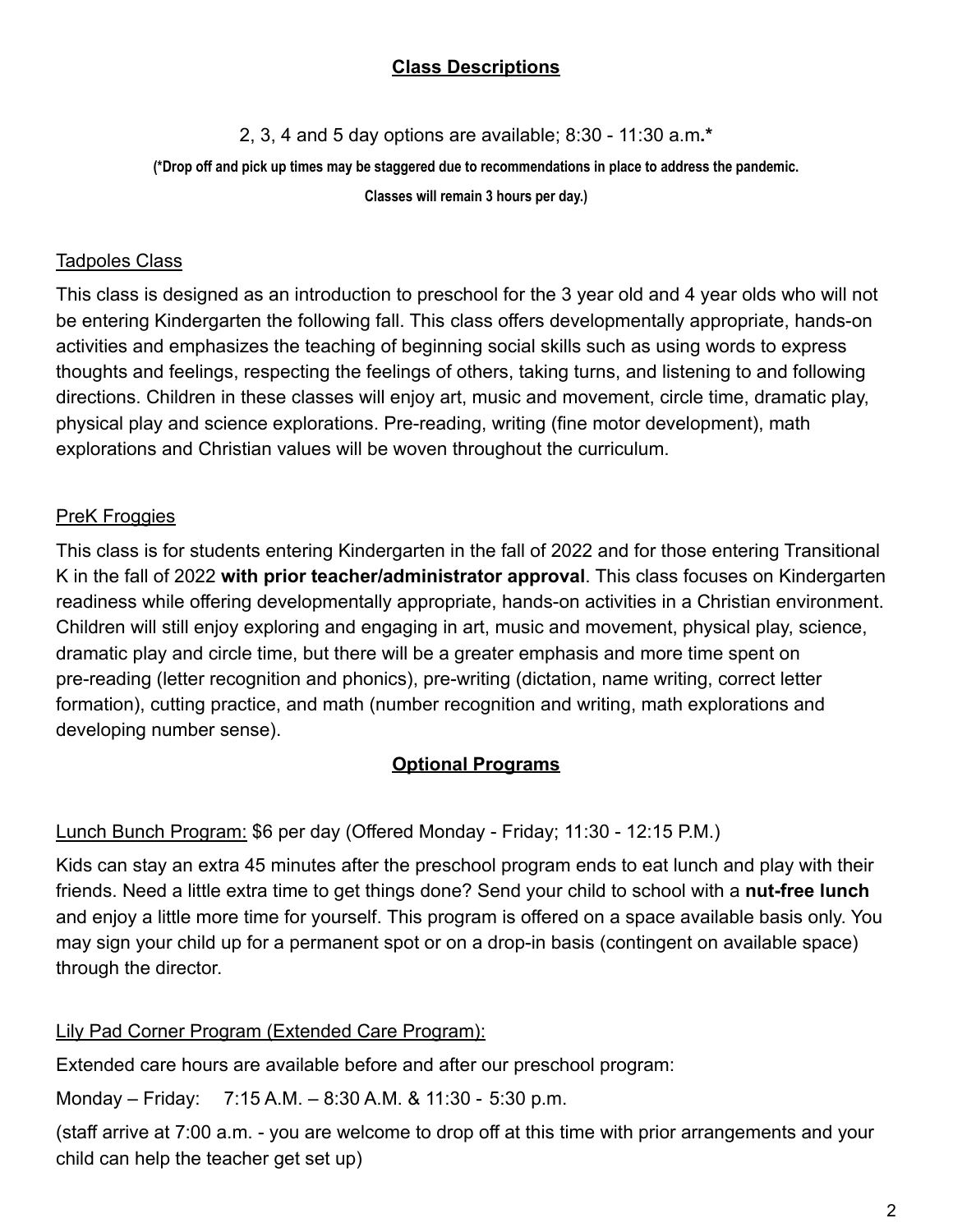# **Class Descriptions**

2, 3, 4 and 5 day options are available; 8:30 - 11:30 a.m**.\***

(\*Drop off and pick up times may be staggered due to recommendations in place to address the pandemic.

**Classes will remain 3 hours per day.)**

#### Tadpoles Class

This class is designed as an introduction to preschool for the 3 year old and 4 year olds who will not be entering Kindergarten the following fall. This class offers developmentally appropriate, hands-on activities and emphasizes the teaching of beginning social skills such as using words to express thoughts and feelings, respecting the feelings of others, taking turns, and listening to and following directions. Children in these classes will enjoy art, music and movement, circle time, dramatic play, physical play and science explorations. Pre-reading, writing (fine motor development), math explorations and Christian values will be woven throughout the curriculum.

# PreK Froggies

This class is for students entering Kindergarten in the fall of 2022 and for those entering Transitional K in the fall of 2022 **with prior teacher/administrator approval**. This class focuses on Kindergarten readiness while offering developmentally appropriate, hands-on activities in a Christian environment. Children will still enjoy exploring and engaging in art, music and movement, physical play, science, dramatic play and circle time, but there will be a greater emphasis and more time spent on pre-reading (letter recognition and phonics), pre-writing (dictation, name writing, correct letter formation), cutting practice, and math (number recognition and writing, math explorations and developing number sense).

# **Optional Programs**

# Lunch Bunch Program: \$6 per day (Offered Monday - Friday; 11:30 - 12:15 P.M.)

Kids can stay an extra 45 minutes after the preschool program ends to eat lunch and play with their friends. Need a little extra time to get things done? Send your child to school with a **nut-free lunch** and enjoy a little more time for yourself. This program is offered on a space available basis only. You may sign your child up for a permanent spot or on a drop-in basis (contingent on available space) through the director.

# Lily Pad Corner Program (Extended Care Program):

Extended care hours are available before and after our preschool program:

Monday – Friday: 7:15 A.M. – 8:30 A.M. & 11:30 - 5:30 p.m.

(staff arrive at 7:00 a.m. - you are welcome to drop off at this time with prior arrangements and your child can help the teacher get set up)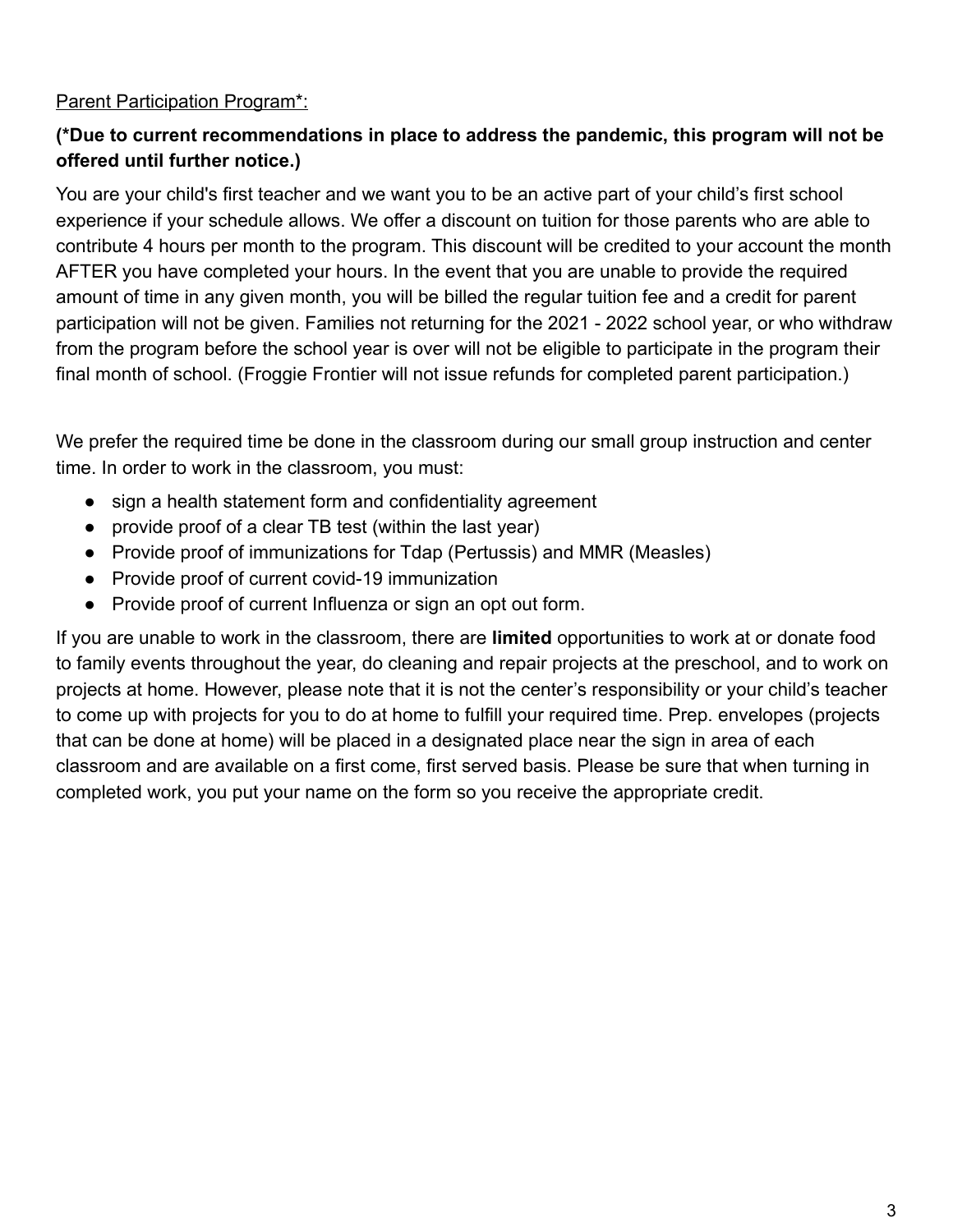# Parent Participation Program\*:

# **(\*Due to current recommendations in place to address the pandemic, this program will not be offered until further notice.)**

You are your child's first teacher and we want you to be an active part of your child's first school experience if your schedule allows. We offer a discount on tuition for those parents who are able to contribute 4 hours per month to the program. This discount will be credited to your account the month AFTER you have completed your hours. In the event that you are unable to provide the required amount of time in any given month, you will be billed the regular tuition fee and a credit for parent participation will not be given. Families not returning for the 2021 - 2022 school year, or who withdraw from the program before the school year is over will not be eligible to participate in the program their final month of school. (Froggie Frontier will not issue refunds for completed parent participation.)

We prefer the required time be done in the classroom during our small group instruction and center time. In order to work in the classroom, you must:

- sign a health statement form and confidentiality agreement
- provide proof of a clear TB test (within the last year)
- Provide proof of immunizations for Tdap (Pertussis) and MMR (Measles)
- Provide proof of current covid-19 immunization
- Provide proof of current Influenza or sign an opt out form.

If you are unable to work in the classroom, there are **limited** opportunities to work at or donate food to family events throughout the year, do cleaning and repair projects at the preschool, and to work on projects at home. However, please note that it is not the center's responsibility or your child's teacher to come up with projects for you to do at home to fulfill your required time. Prep. envelopes (projects that can be done at home) will be placed in a designated place near the sign in area of each classroom and are available on a first come, first served basis. Please be sure that when turning in completed work, you put your name on the form so you receive the appropriate credit.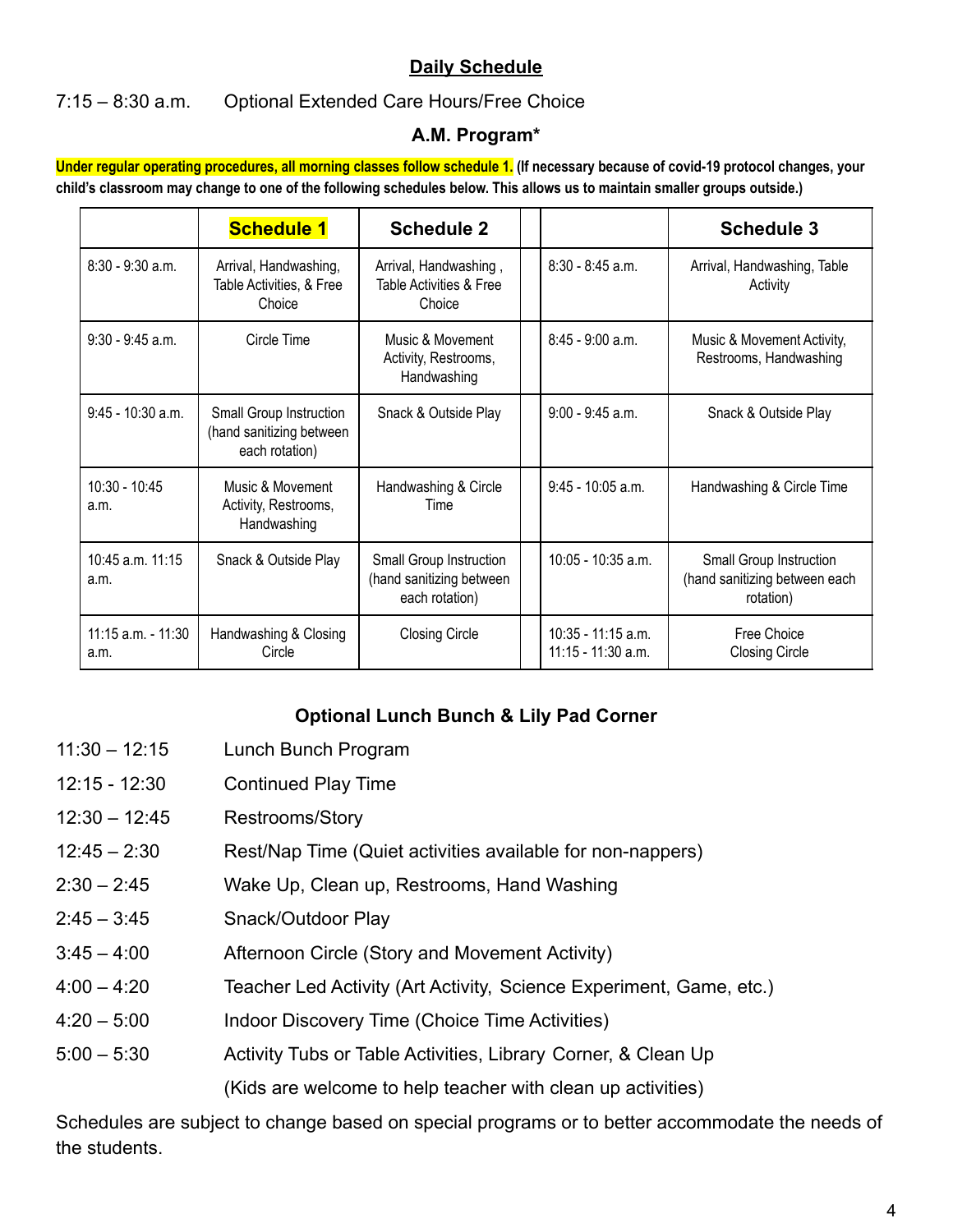# **Daily Schedule**

#### 7:15 – 8:30 a.m. Optional Extended Care Hours/Free Choice

#### **A.M. Program\***

Under regular operating procedures, all morning classes follow schedule 1. (If necessary because of covid-19 protocol changes, your child's classroom may change to one of the following schedules below. This allows us to maintain smaller groups outside.)

|                                | <b>Schedule 1</b>                                                     | <b>Schedule 2</b>                                                     |                                          | <b>Schedule 3</b>                                                     |
|--------------------------------|-----------------------------------------------------------------------|-----------------------------------------------------------------------|------------------------------------------|-----------------------------------------------------------------------|
| $8:30 - 9:30$ a.m.             | Arrival, Handwashing,<br>Table Activities, & Free<br>Choice           | Arrival, Handwashing,<br>Table Activities & Free<br>Choice            | $8:30 - 8:45$ a.m.                       | Arrival, Handwashing, Table<br>Activity                               |
| $9:30 - 9:45$ a.m.             | Circle Time                                                           | Music & Movement<br>Activity, Restrooms,<br>Handwashing               | $8:45 - 9:00$ a.m.                       | Music & Movement Activity,<br>Restrooms, Handwashing                  |
| 9:45 - 10:30 a.m.              | Small Group Instruction<br>(hand sanitizing between<br>each rotation) | Snack & Outside Play                                                  | $9:00 - 9:45$ a.m.                       | Snack & Outside Play                                                  |
| 10:30 - 10:45<br>a.m.          | Music & Movement<br>Activity, Restrooms,<br>Handwashing               | Handwashing & Circle<br>Time                                          | 9:45 - 10:05 a.m.                        | Handwashing & Circle Time                                             |
| 10:45 a.m. 11:15<br>a.m.       | Snack & Outside Play                                                  | Small Group Instruction<br>(hand sanitizing between<br>each rotation) | 10:05 - 10:35 a.m.                       | Small Group Instruction<br>(hand sanitizing between each<br>rotation) |
| $11:15$ a.m. - $11:30$<br>a.m. | Handwashing & Closing<br>Circle                                       | <b>Closing Circle</b>                                                 | 10:35 - 11:15 a.m.<br>11:15 - 11:30 a.m. | Free Choice<br><b>Closing Circle</b>                                  |

#### **Optional Lunch Bunch & Lily Pad Corner**

- 11:30 12:15 Lunch Bunch Program
- 12:15 12:30 Continued Play Time
- 12:30 12:45 Restrooms/Story
- 12:45 2:30 Rest/Nap Time (Quiet activities available for non-nappers)
- 2:30 2:45 Wake Up, Clean up, Restrooms, Hand Washing
- 2:45 3:45 Snack/Outdoor Play
- 3:45 4:00 Afternoon Circle (Story and Movement Activity)
- 4:00 4:20 Teacher Led Activity (Art Activity, Science Experiment, Game, etc.)
- 4:20 5:00 Indoor Discovery Time (Choice Time Activities)
- 5:00 5:30 Activity Tubs or Table Activities, Library Corner, & Clean Up (Kids are welcome to help teacher with clean up activities)

Schedules are subject to change based on special programs or to better accommodate the needs of the students.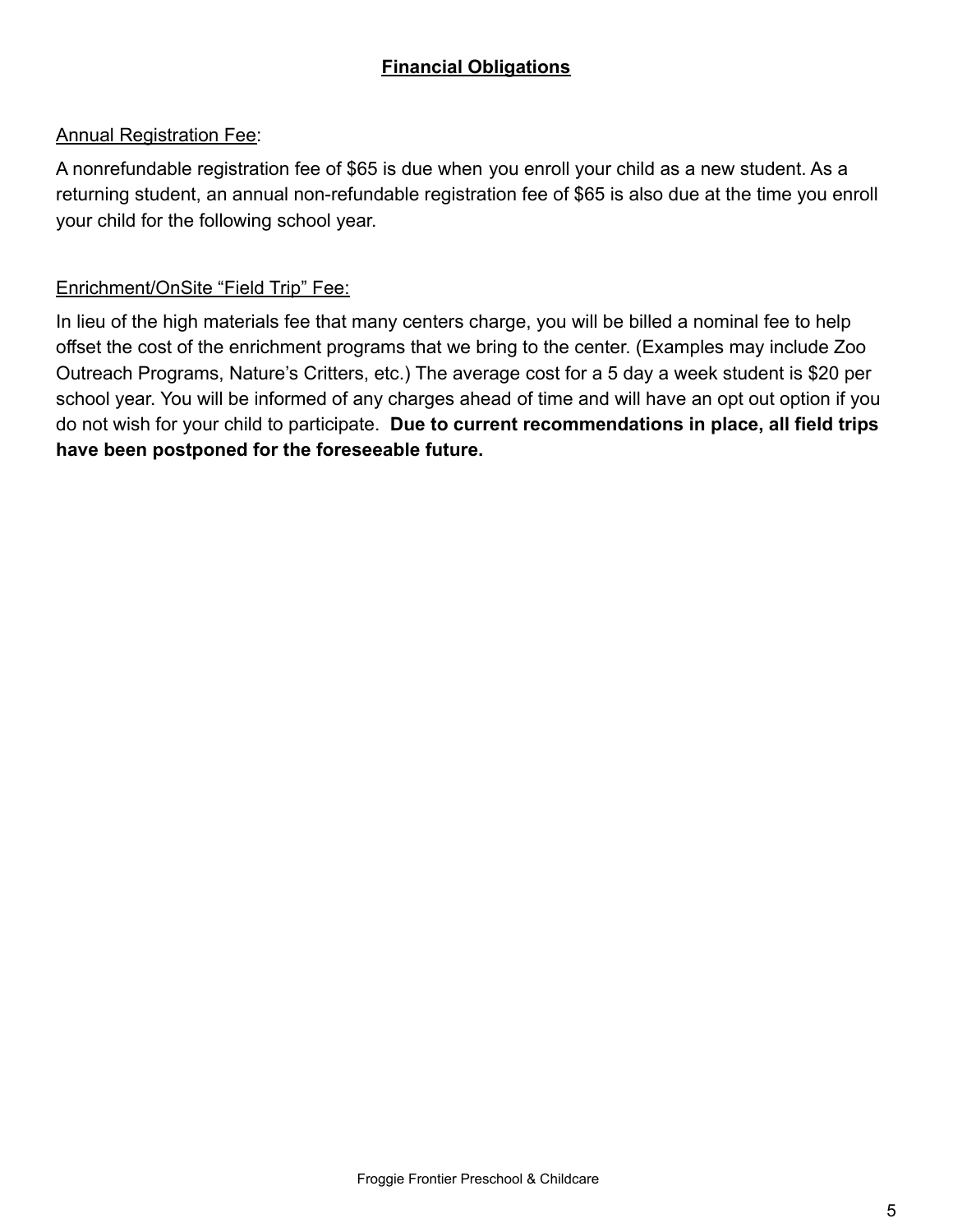# **Financial Obligations**

#### Annual Registration Fee:

A nonrefundable registration fee of \$65 is due when you enroll your child as a new student. As a returning student, an annual non-refundable registration fee of \$65 is also due at the time you enroll your child for the following school year.

#### Enrichment/OnSite "Field Trip" Fee:

In lieu of the high materials fee that many centers charge, you will be billed a nominal fee to help offset the cost of the enrichment programs that we bring to the center. (Examples may include Zoo Outreach Programs, Nature's Critters, etc.) The average cost for a 5 day a week student is \$20 per school year. You will be informed of any charges ahead of time and will have an opt out option if you do not wish for your child to participate. **Due to current recommendations in place, all field trips have been postponed for the foreseeable future.**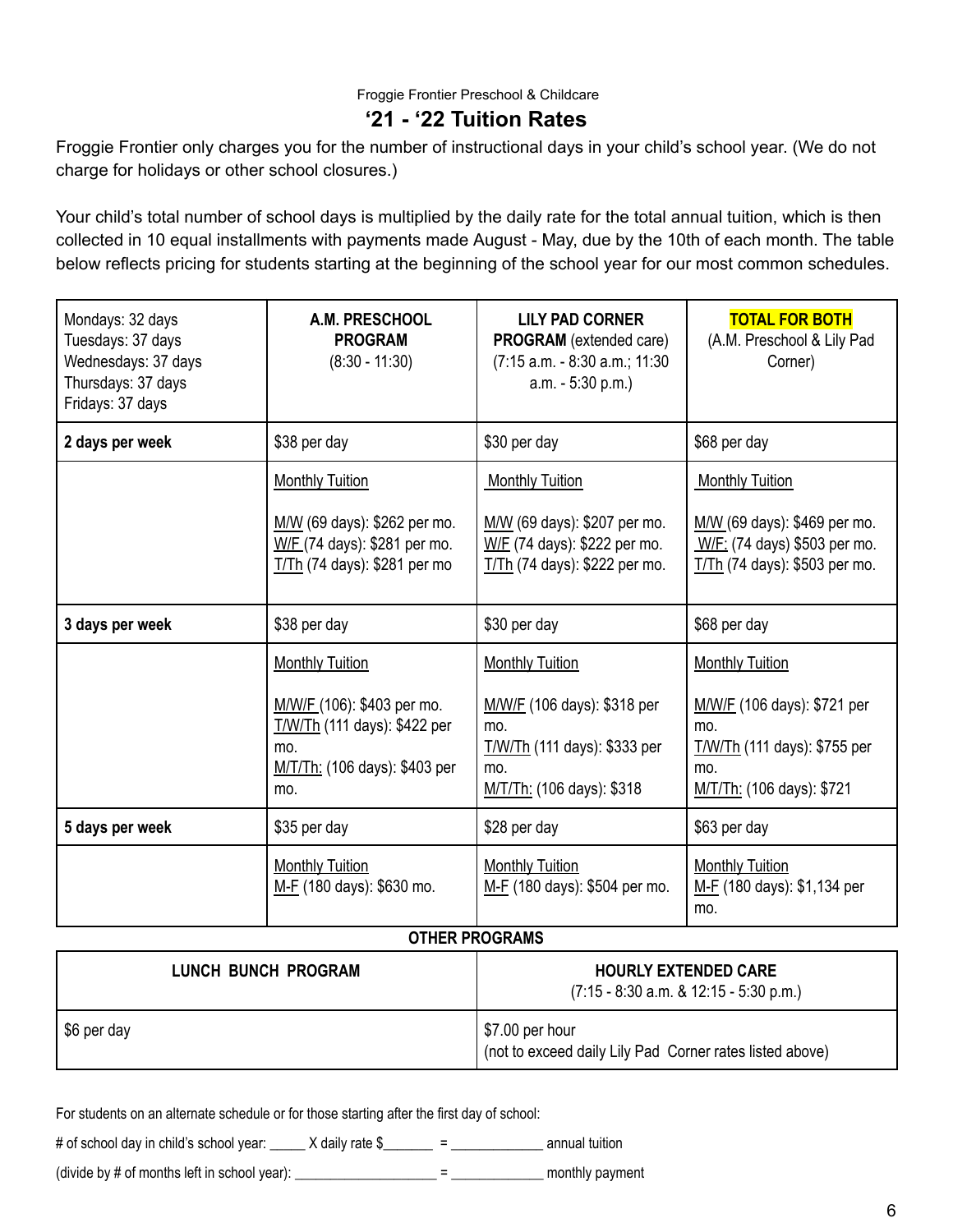## **'21 - '22 Tuition Rates**

Froggie Frontier only charges you for the number of instructional days in your child's school year. (We do not charge for holidays or other school closures.)

Your child's total number of school days is multiplied by the daily rate for the total annual tuition, which is then collected in 10 equal installments with payments made August - May, due by the 10th of each month. The table below reflects pricing for students starting at the beginning of the school year for our most common schedules.

| Mondays: 32 days<br>Tuesdays: 37 days<br>Wednesdays: 37 days<br>Thursdays: 37 days<br>Fridays: 37 days | A.M. PRESCHOOL<br><b>PROGRAM</b><br>$(8:30 - 11:30)$                                                                                | <b>LILY PAD CORNER</b><br><b>PROGRAM</b> (extended care)<br>(7:15 a.m. - 8:30 a.m.; 11:30<br>a.m. - 5:30 p.m.)                   | <b>TOTAL FOR BOTH</b><br>(A.M. Preschool & Lily Pad<br>Corner)                                                                   |
|--------------------------------------------------------------------------------------------------------|-------------------------------------------------------------------------------------------------------------------------------------|----------------------------------------------------------------------------------------------------------------------------------|----------------------------------------------------------------------------------------------------------------------------------|
| 2 days per week                                                                                        | \$38 per day                                                                                                                        | \$30 per day                                                                                                                     | \$68 per day                                                                                                                     |
|                                                                                                        | <b>Monthly Tuition</b>                                                                                                              | <b>Monthly Tuition</b>                                                                                                           | <b>Monthly Tuition</b>                                                                                                           |
|                                                                                                        | M/W (69 days): \$262 per mo.<br>W/F (74 days): \$281 per mo.<br>T/Th (74 days): \$281 per mo                                        | M/W (69 days): \$207 per mo.<br>W/F (74 days): \$222 per mo.<br>T/Th (74 days): \$222 per mo.                                    | M/W (69 days): \$469 per mo.<br>W/F: (74 days) \$503 per mo.<br>T/Th (74 days): \$503 per mo.                                    |
| 3 days per week                                                                                        | \$38 per day                                                                                                                        | \$30 per day                                                                                                                     | \$68 per day                                                                                                                     |
|                                                                                                        | <b>Monthly Tuition</b><br>M/W/F (106): \$403 per mo.<br>T/W/Th (111 days): \$422 per<br>mo.<br>M/T/Th: (106 days): \$403 per<br>mo. | <b>Monthly Tuition</b><br>M/W/F (106 days): \$318 per<br>mo.<br>T/W/Th (111 days): \$333 per<br>mo.<br>M/T/Th: (106 days): \$318 | <b>Monthly Tuition</b><br>M/W/F (106 days): \$721 per<br>mo.<br>T/W/Th (111 days): \$755 per<br>mo.<br>M/T/Th: (106 days): \$721 |
| 5 days per week                                                                                        | \$35 per day                                                                                                                        | \$28 per day                                                                                                                     | \$63 per day                                                                                                                     |
|                                                                                                        | <b>Monthly Tuition</b><br>M-F (180 days): \$630 mo.                                                                                 | <b>Monthly Tuition</b><br>M-F (180 days): \$504 per mo.                                                                          | <b>Monthly Tuition</b><br>M-F (180 days): \$1,134 per<br>mo.                                                                     |

#### **OTHER PROGRAMS**

| <b>LUNCH BUNCH PROGRAM</b> | <b>HOURLY EXTENDED CARE</b><br>$(7:15 - 8:30$ a.m. & 12:15 - 5:30 p.m.)                   |
|----------------------------|-------------------------------------------------------------------------------------------|
| S6 per day                 | $\frac{1}{2}$ \$7.00 per hour<br>(not to exceed daily Lily Pad Corner rates listed above) |

For students on an alternate schedule or for those starting after the first day of school:

# of school day in child's school year: \_\_\_\_\_ X daily rate \$\_\_\_\_\_\_ = \_\_\_\_\_\_\_\_\_\_\_\_\_\_\_\_ annual tuition

(divide by # of months left in school year): \_\_\_\_\_\_\_\_\_\_\_\_\_\_\_\_\_\_\_\_ = \_\_\_\_\_\_\_\_\_\_\_\_\_ monthly payment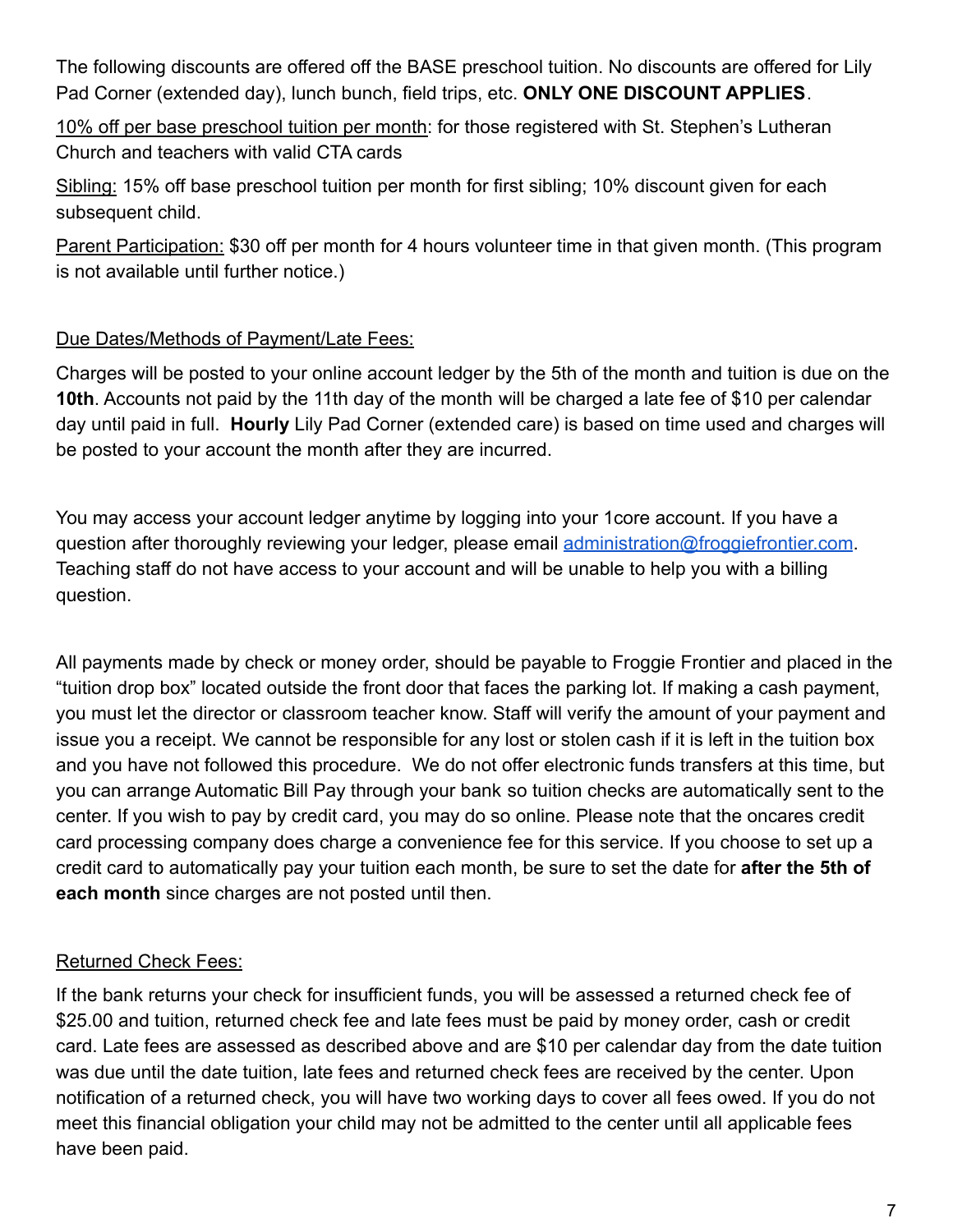The following discounts are offered off the BASE preschool tuition. No discounts are offered for Lily Pad Corner (extended day), lunch bunch, field trips, etc. **ONLY ONE DISCOUNT APPLIES**.

10% off per base preschool tuition per month: for those registered with St. Stephen's Lutheran Church and teachers with valid CTA cards

Sibling: 15% off base preschool tuition per month for first sibling; 10% discount given for each subsequent child.

Parent Participation: \$30 off per month for 4 hours volunteer time in that given month. (This program is not available until further notice.)

# Due Dates/Methods of Payment/Late Fees:

Charges will be posted to your online account ledger by the 5th of the month and tuition is due on the **10th**. Accounts not paid by the 11th day of the month will be charged a late fee of \$10 per calendar day until paid in full. **Hourly** Lily Pad Corner (extended care) is based on time used and charges will be posted to your account the month after they are incurred.

You may access your account ledger anytime by logging into your 1core account. If you have a question after thoroughly reviewing your ledger, please email [administration@froggiefrontier.com](mailto:administration@froggiefrontier.com). Teaching staff do not have access to your account and will be unable to help you with a billing question.

All payments made by check or money order, should be payable to Froggie Frontier and placed in the "tuition drop box" located outside the front door that faces the parking lot. If making a cash payment, you must let the director or classroom teacher know. Staff will verify the amount of your payment and issue you a receipt. We cannot be responsible for any lost or stolen cash if it is left in the tuition box and you have not followed this procedure. We do not offer electronic funds transfers at this time, but you can arrange Automatic Bill Pay through your bank so tuition checks are automatically sent to the center. If you wish to pay by credit card, you may do so online. Please note that the oncares credit card processing company does charge a convenience fee for this service. If you choose to set up a credit card to automatically pay your tuition each month, be sure to set the date for **after the 5th of each month** since charges are not posted until then.

# Returned Check Fees:

If the bank returns your check for insufficient funds, you will be assessed a returned check fee of \$25.00 and tuition, returned check fee and late fees must be paid by money order, cash or credit card. Late fees are assessed as described above and are \$10 per calendar day from the date tuition was due until the date tuition, late fees and returned check fees are received by the center. Upon notification of a returned check, you will have two working days to cover all fees owed. If you do not meet this financial obligation your child may not be admitted to the center until all applicable fees have been paid.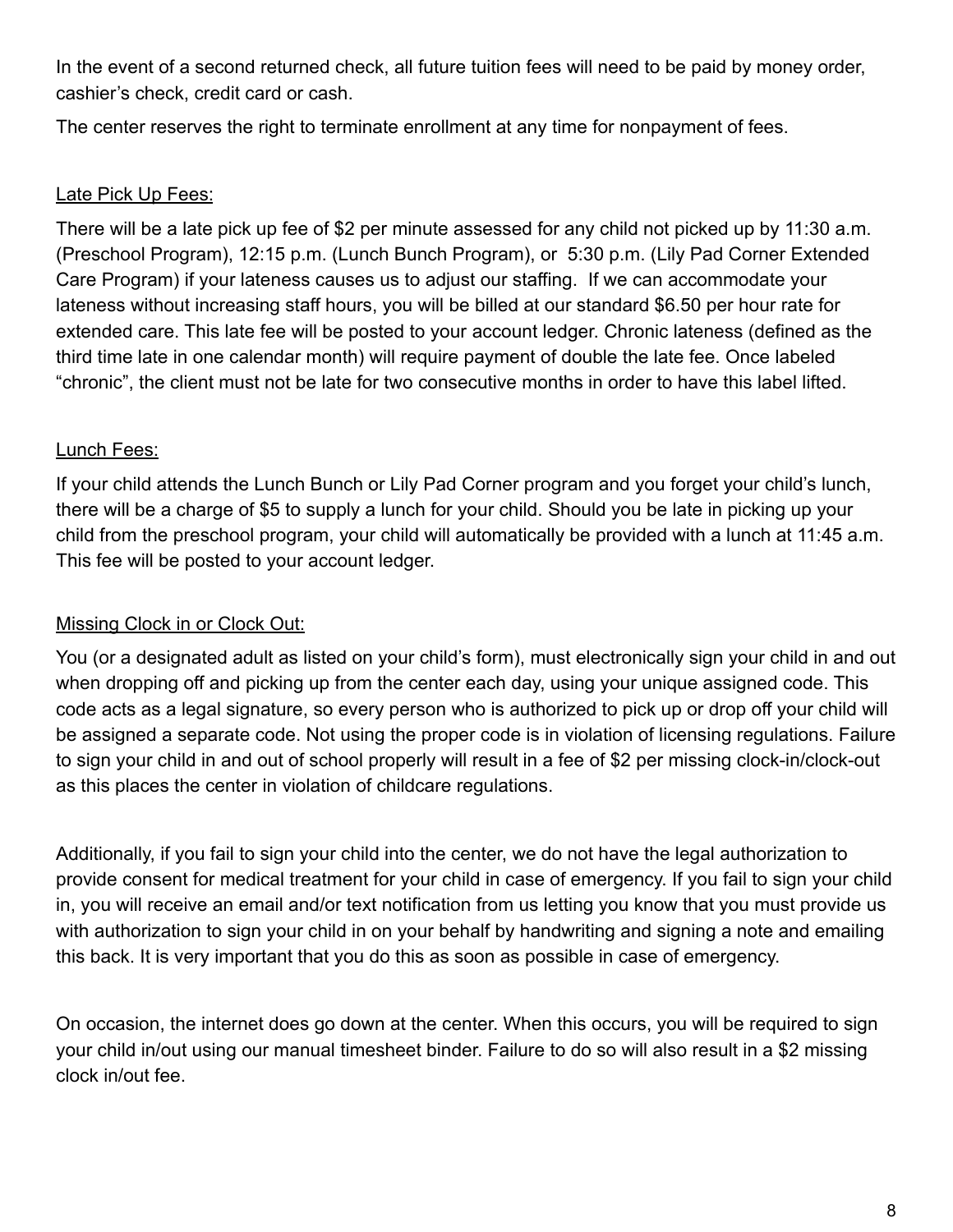In the event of a second returned check, all future tuition fees will need to be paid by money order, cashier's check, credit card or cash.

The center reserves the right to terminate enrollment at any time for nonpayment of fees.

## Late Pick Up Fees:

There will be a late pick up fee of \$2 per minute assessed for any child not picked up by 11:30 a.m. (Preschool Program), 12:15 p.m. (Lunch Bunch Program), or 5:30 p.m. (Lily Pad Corner Extended Care Program) if your lateness causes us to adjust our staffing. If we can accommodate your lateness without increasing staff hours, you will be billed at our standard \$6.50 per hour rate for extended care. This late fee will be posted to your account ledger. Chronic lateness (defined as the third time late in one calendar month) will require payment of double the late fee. Once labeled "chronic", the client must not be late for two consecutive months in order to have this label lifted.

# Lunch Fees:

If your child attends the Lunch Bunch or Lily Pad Corner program and you forget your child's lunch, there will be a charge of \$5 to supply a lunch for your child. Should you be late in picking up your child from the preschool program, your child will automatically be provided with a lunch at 11:45 a.m. This fee will be posted to your account ledger.

# Missing Clock in or Clock Out:

You (or a designated adult as listed on your child's form), must electronically sign your child in and out when dropping off and picking up from the center each day, using your unique assigned code. This code acts as a legal signature, so every person who is authorized to pick up or drop off your child will be assigned a separate code. Not using the proper code is in violation of licensing regulations. Failure to sign your child in and out of school properly will result in a fee of \$2 per missing clock-in/clock-out as this places the center in violation of childcare regulations.

Additionally, if you fail to sign your child into the center, we do not have the legal authorization to provide consent for medical treatment for your child in case of emergency. If you fail to sign your child in, you will receive an email and/or text notification from us letting you know that you must provide us with authorization to sign your child in on your behalf by handwriting and signing a note and emailing this back. It is very important that you do this as soon as possible in case of emergency.

On occasion, the internet does go down at the center. When this occurs, you will be required to sign your child in/out using our manual timesheet binder. Failure to do so will also result in a \$2 missing clock in/out fee.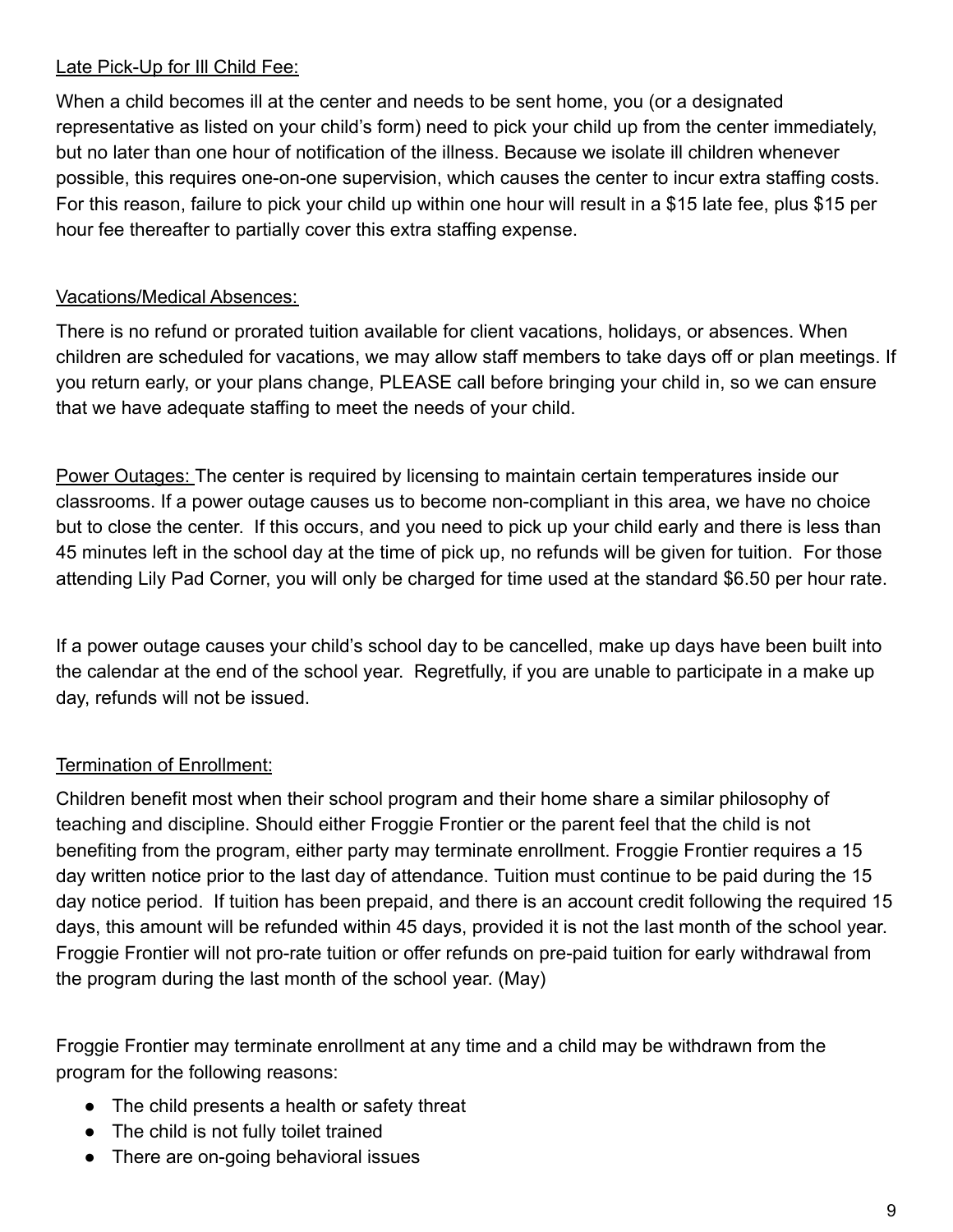# Late Pick-Up for III Child Fee:

When a child becomes ill at the center and needs to be sent home, you (or a designated representative as listed on your child's form) need to pick your child up from the center immediately, but no later than one hour of notification of the illness. Because we isolate ill children whenever possible, this requires one-on-one supervision, which causes the center to incur extra staffing costs. For this reason, failure to pick your child up within one hour will result in a \$15 late fee, plus \$15 per hour fee thereafter to partially cover this extra staffing expense.

# Vacations/Medical Absences:

There is no refund or prorated tuition available for client vacations, holidays, or absences. When children are scheduled for vacations, we may allow staff members to take days off or plan meetings. If you return early, or your plans change, PLEASE call before bringing your child in, so we can ensure that we have adequate staffing to meet the needs of your child.

Power Outages: The center is required by licensing to maintain certain temperatures inside our classrooms. If a power outage causes us to become non-compliant in this area, we have no choice but to close the center. If this occurs, and you need to pick up your child early and there is less than 45 minutes left in the school day at the time of pick up, no refunds will be given for tuition. For those attending Lily Pad Corner, you will only be charged for time used at the standard \$6.50 per hour rate.

If a power outage causes your child's school day to be cancelled, make up days have been built into the calendar at the end of the school year. Regretfully, if you are unable to participate in a make up day, refunds will not be issued.

# Termination of Enrollment:

Children benefit most when their school program and their home share a similar philosophy of teaching and discipline. Should either Froggie Frontier or the parent feel that the child is not benefiting from the program, either party may terminate enrollment. Froggie Frontier requires a 15 day written notice prior to the last day of attendance. Tuition must continue to be paid during the 15 day notice period. If tuition has been prepaid, and there is an account credit following the required 15 days, this amount will be refunded within 45 days, provided it is not the last month of the school year. Froggie Frontier will not pro-rate tuition or offer refunds on pre-paid tuition for early withdrawal from the program during the last month of the school year. (May)

Froggie Frontier may terminate enrollment at any time and a child may be withdrawn from the program for the following reasons:

- The child presents a health or safety threat
- The child is not fully toilet trained
- There are on-going behavioral issues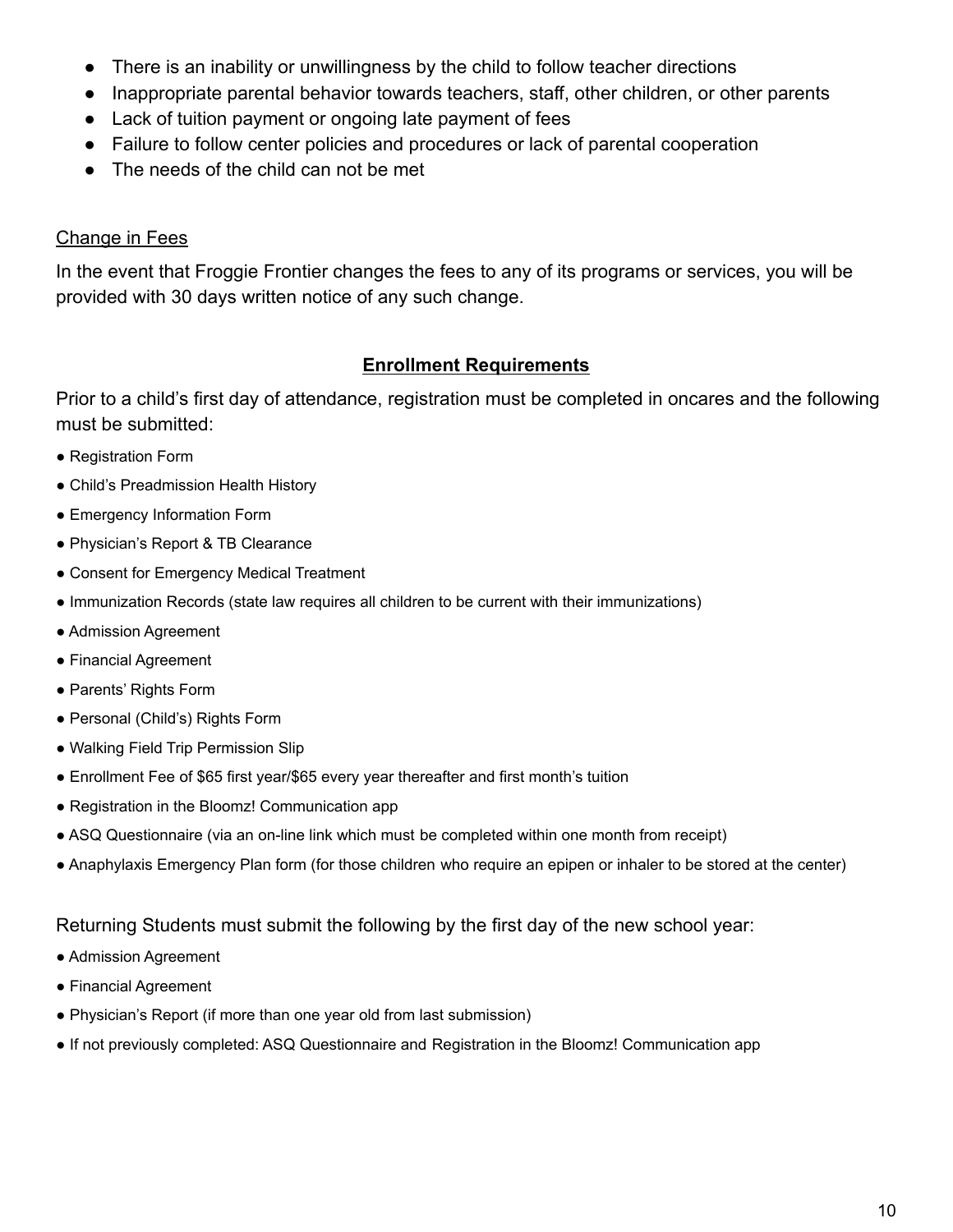- There is an inability or unwillingness by the child to follow teacher directions
- Inappropriate parental behavior towards teachers, staff, other children, or other parents
- Lack of tuition payment or ongoing late payment of fees
- Failure to follow center policies and procedures or lack of parental cooperation
- The needs of the child can not be met

# Change in Fees

In the event that Froggie Frontier changes the fees to any of its programs or services, you will be provided with 30 days written notice of any such change.

# **Enrollment Requirements**

Prior to a child's first day of attendance, registration must be completed in oncares and the following must be submitted:

- Registration Form
- Child's Preadmission Health History
- Emergency Information Form
- Physician's Report & TB Clearance
- Consent for Emergency Medical Treatment
- Immunization Records (state law requires all children to be current with their immunizations)
- Admission Agreement
- Financial Agreement
- Parents' Rights Form
- Personal (Child's) Rights Form
- Walking Field Trip Permission Slip
- Enrollment Fee of \$65 first year/\$65 every year thereafter and first month's tuition
- Registration in the Bloomz! Communication app
- ASQ Questionnaire (via an on-line link which must be completed within one month from receipt)
- Anaphylaxis Emergency Plan form (for those children who require an epipen or inhaler to be stored at the center)

#### Returning Students must submit the following by the first day of the new school year:

- Admission Agreement
- Financial Agreement
- Physician's Report (if more than one year old from last submission)
- If not previously completed: ASQ Questionnaire and Registration in the Bloomz! Communication app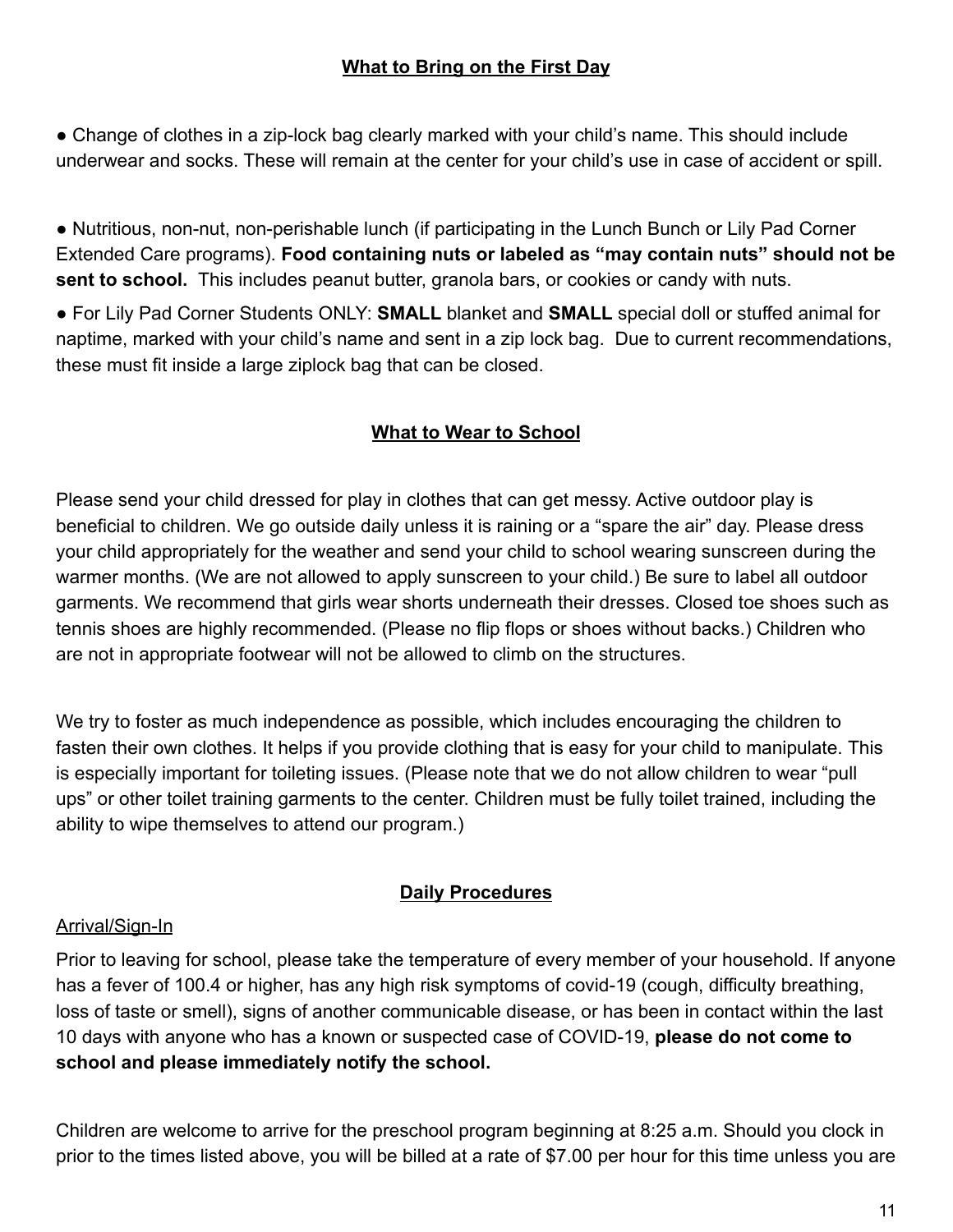# **What to Bring on the First Day**

• Change of clothes in a zip-lock bag clearly marked with your child's name. This should include underwear and socks. These will remain at the center for your child's use in case of accident or spill.

● Nutritious, non-nut, non-perishable lunch (if participating in the Lunch Bunch or Lily Pad Corner Extended Care programs). **Food containing nuts or labeled as "may contain nuts" should not be sent to school.** This includes peanut butter, granola bars, or cookies or candy with nuts.

● For Lily Pad Corner Students ONLY: **SMALL** blanket and **SMALL** special doll or stuffed animal for naptime, marked with your child's name and sent in a zip lock bag. Due to current recommendations, these must fit inside a large ziplock bag that can be closed.

# **What to Wear to School**

Please send your child dressed for play in clothes that can get messy. Active outdoor play is beneficial to children. We go outside daily unless it is raining or a "spare the air" day. Please dress your child appropriately for the weather and send your child to school wearing sunscreen during the warmer months. (We are not allowed to apply sunscreen to your child.) Be sure to label all outdoor garments. We recommend that girls wear shorts underneath their dresses. Closed toe shoes such as tennis shoes are highly recommended. (Please no flip flops or shoes without backs.) Children who are not in appropriate footwear will not be allowed to climb on the structures.

We try to foster as much independence as possible, which includes encouraging the children to fasten their own clothes. It helps if you provide clothing that is easy for your child to manipulate. This is especially important for toileting issues. (Please note that we do not allow children to wear "pull ups" or other toilet training garments to the center. Children must be fully toilet trained, including the ability to wipe themselves to attend our program.)

# **Daily Procedures**

#### Arrival/Sign-In

Prior to leaving for school, please take the temperature of every member of your household. If anyone has a fever of 100.4 or higher, has any high risk symptoms of covid-19 (cough, difficulty breathing, loss of taste or smell), signs of another communicable disease, or has been in contact within the last 10 days with anyone who has a known or suspected case of COVID-19, **please do not come to school and please immediately notify the school.**

Children are welcome to arrive for the preschool program beginning at 8:25 a.m. Should you clock in prior to the times listed above, you will be billed at a rate of \$7.00 per hour for this time unless you are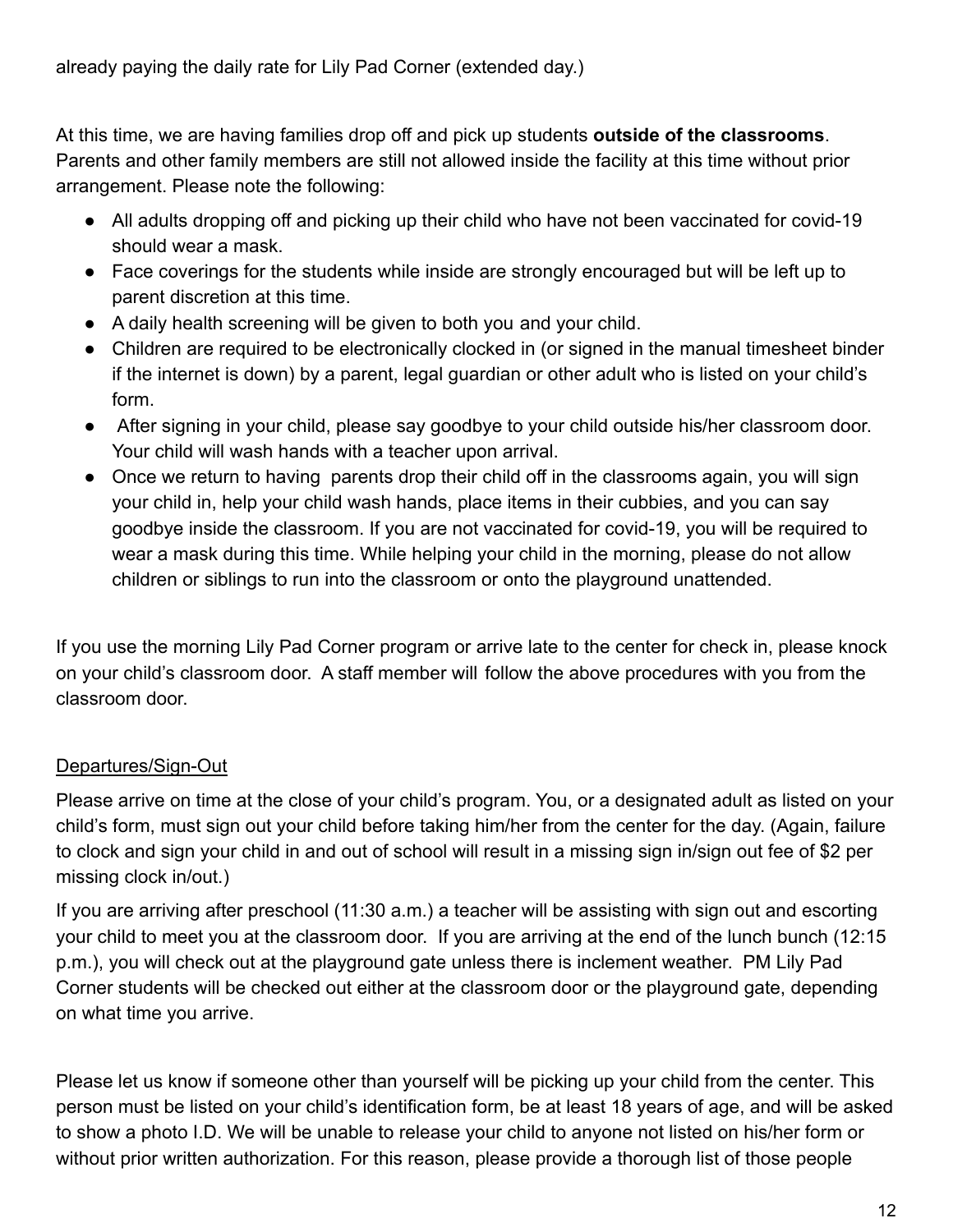At this time, we are having families drop off and pick up students **outside of the classrooms**. Parents and other family members are still not allowed inside the facility at this time without prior arrangement. Please note the following:

- All adults dropping off and picking up their child who have not been vaccinated for covid-19 should wear a mask.
- Face coverings for the students while inside are strongly encouraged but will be left up to parent discretion at this time.
- A daily health screening will be given to both you and your child.
- Children are required to be electronically clocked in (or signed in the manual timesheet binder if the internet is down) by a parent, legal guardian or other adult who is listed on your child's form.
- After signing in your child, please say goodbye to your child outside his/her classroom door. Your child will wash hands with a teacher upon arrival.
- Once we return to having parents drop their child off in the classrooms again, you will sign your child in, help your child wash hands, place items in their cubbies, and you can say goodbye inside the classroom. If you are not vaccinated for covid-19, you will be required to wear a mask during this time. While helping your child in the morning, please do not allow children or siblings to run into the classroom or onto the playground unattended.

If you use the morning Lily Pad Corner program or arrive late to the center for check in, please knock on your child's classroom door. A staff member will follow the above procedures with you from the classroom door.

# Departures/Sign-Out

Please arrive on time at the close of your child's program. You, or a designated adult as listed on your child's form, must sign out your child before taking him/her from the center for the day. (Again, failure to clock and sign your child in and out of school will result in a missing sign in/sign out fee of \$2 per missing clock in/out.)

If you are arriving after preschool (11:30 a.m.) a teacher will be assisting with sign out and escorting your child to meet you at the classroom door. If you are arriving at the end of the lunch bunch (12:15 p.m.), you will check out at the playground gate unless there is inclement weather. PM Lily Pad Corner students will be checked out either at the classroom door or the playground gate, depending on what time you arrive.

Please let us know if someone other than yourself will be picking up your child from the center. This person must be listed on your child's identification form, be at least 18 years of age, and will be asked to show a photo I.D. We will be unable to release your child to anyone not listed on his/her form or without prior written authorization. For this reason, please provide a thorough list of those people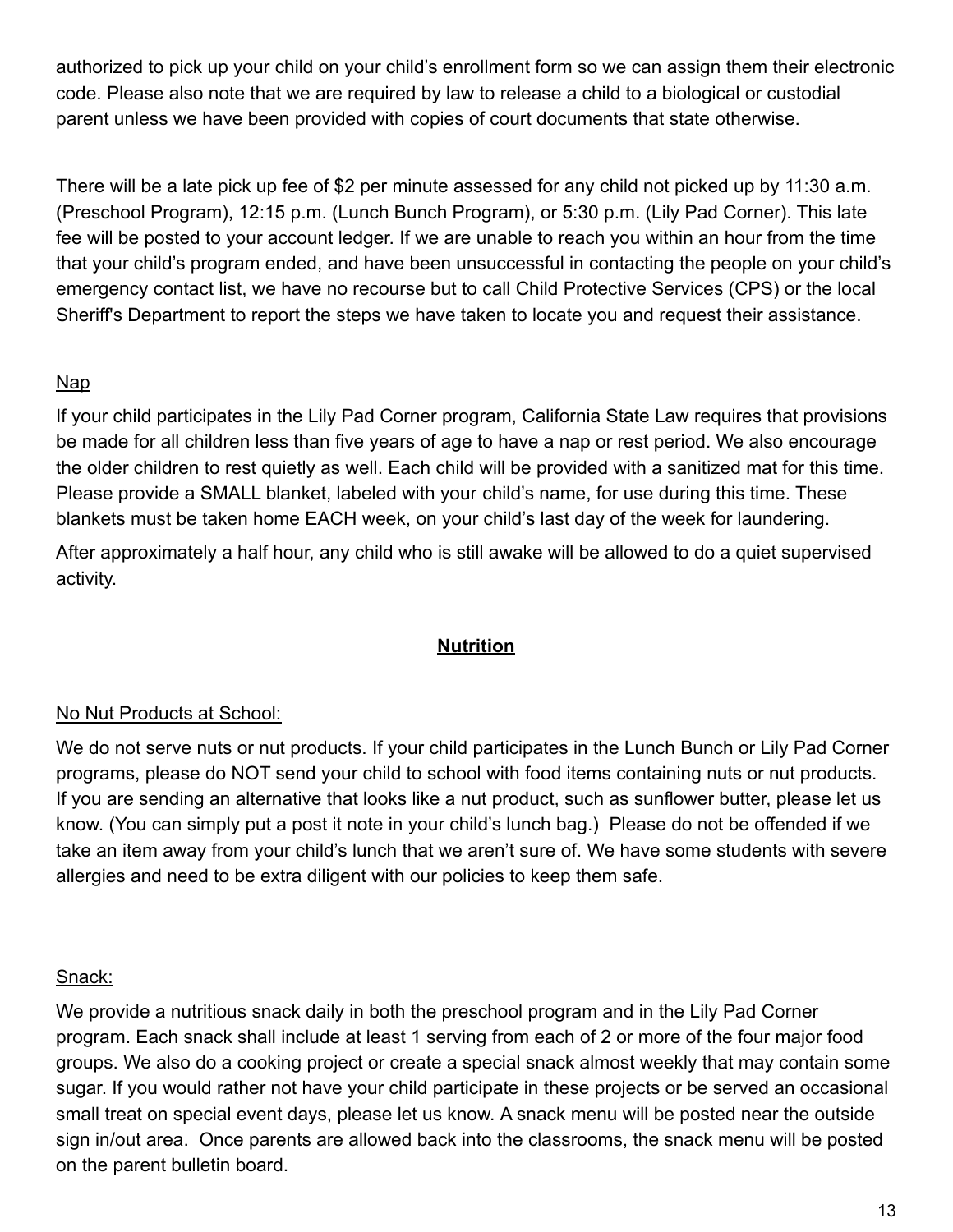authorized to pick up your child on your child's enrollment form so we can assign them their electronic code. Please also note that we are required by law to release a child to a biological or custodial parent unless we have been provided with copies of court documents that state otherwise.

There will be a late pick up fee of \$2 per minute assessed for any child not picked up by 11:30 a.m. (Preschool Program), 12:15 p.m. (Lunch Bunch Program), or 5:30 p.m. (Lily Pad Corner). This late fee will be posted to your account ledger. If we are unable to reach you within an hour from the time that your child's program ended, and have been unsuccessful in contacting the people on your child's emergency contact list, we have no recourse but to call Child Protective Services (CPS) or the local Sheriff's Department to report the steps we have taken to locate you and request their assistance.

# Nap

If your child participates in the Lily Pad Corner program, California State Law requires that provisions be made for all children less than five years of age to have a nap or rest period. We also encourage the older children to rest quietly as well. Each child will be provided with a sanitized mat for this time. Please provide a SMALL blanket, labeled with your child's name, for use during this time. These blankets must be taken home EACH week, on your child's last day of the week for laundering.

After approximately a half hour, any child who is still awake will be allowed to do a quiet supervised activity.

# **Nutrition**

# No Nut Products at School:

We do not serve nuts or nut products. If your child participates in the Lunch Bunch or Lily Pad Corner programs, please do NOT send your child to school with food items containing nuts or nut products. If you are sending an alternative that looks like a nut product, such as sunflower butter, please let us know. (You can simply put a post it note in your child's lunch bag.) Please do not be offended if we take an item away from your child's lunch that we aren't sure of. We have some students with severe allergies and need to be extra diligent with our policies to keep them safe.

#### Snack:

We provide a nutritious snack daily in both the preschool program and in the Lily Pad Corner program. Each snack shall include at least 1 serving from each of 2 or more of the four major food groups. We also do a cooking project or create a special snack almost weekly that may contain some sugar. If you would rather not have your child participate in these projects or be served an occasional small treat on special event days, please let us know. A snack menu will be posted near the outside sign in/out area. Once parents are allowed back into the classrooms, the snack menu will be posted on the parent bulletin board.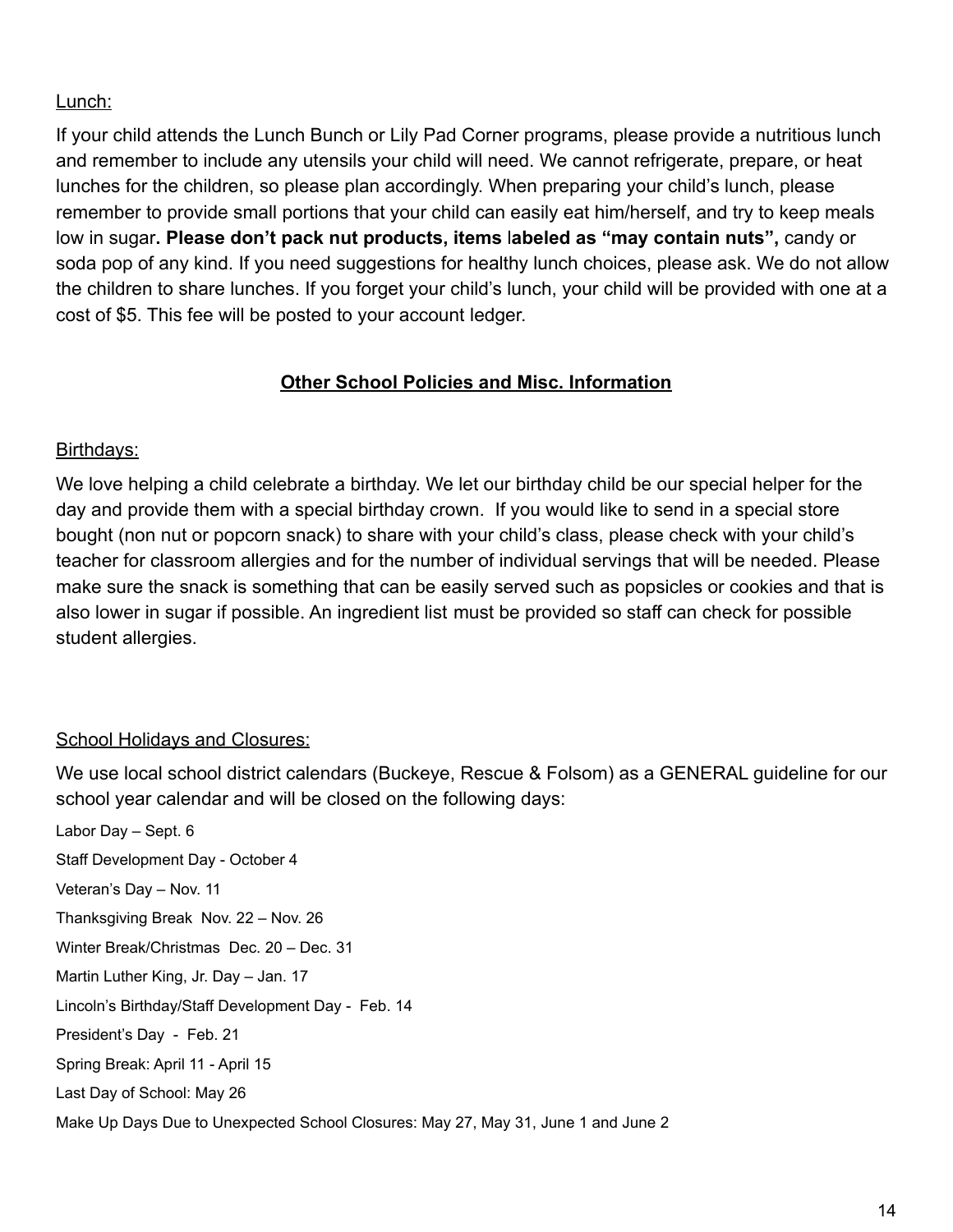## Lunch:

If your child attends the Lunch Bunch or Lily Pad Corner programs, please provide a nutritious lunch and remember to include any utensils your child will need. We cannot refrigerate, prepare, or heat lunches for the children, so please plan accordingly. When preparing your child's lunch, please remember to provide small portions that your child can easily eat him/herself, and try to keep meals low in sugar**. Please don't pack nut products, items** l**abeled as "may contain nuts",** candy or soda pop of any kind. If you need suggestions for healthy lunch choices, please ask. We do not allow the children to share lunches. If you forget your child's lunch, your child will be provided with one at a cost of \$5. This fee will be posted to your account ledger.

#### **Other School Policies and Misc. Information**

#### Birthdays:

We love helping a child celebrate a birthday. We let our birthday child be our special helper for the day and provide them with a special birthday crown. If you would like to send in a special store bought (non nut or popcorn snack) to share with your child's class, please check with your child's teacher for classroom allergies and for the number of individual servings that will be needed. Please make sure the snack is something that can be easily served such as popsicles or cookies and that is also lower in sugar if possible. An ingredient list must be provided so staff can check for possible student allergies.

#### School Holidays and Closures:

We use local school district calendars (Buckeye, Rescue & Folsom) as a GENERAL guideline for our school year calendar and will be closed on the following days:

Labor Day – Sept. 6 Staff Development Day - October 4 Veteran's Day – Nov. 11 Thanksgiving Break Nov. 22 – Nov. 26 Winter Break/Christmas Dec. 20 – Dec. 31 Martin Luther King, Jr. Day – Jan. 17 Lincoln's Birthday/Staff Development Day - Feb. 14 President's Day - Feb. 21 Spring Break: April 11 - April 15 Last Day of School: May 26 Make Up Days Due to Unexpected School Closures: May 27, May 31, June 1 and June 2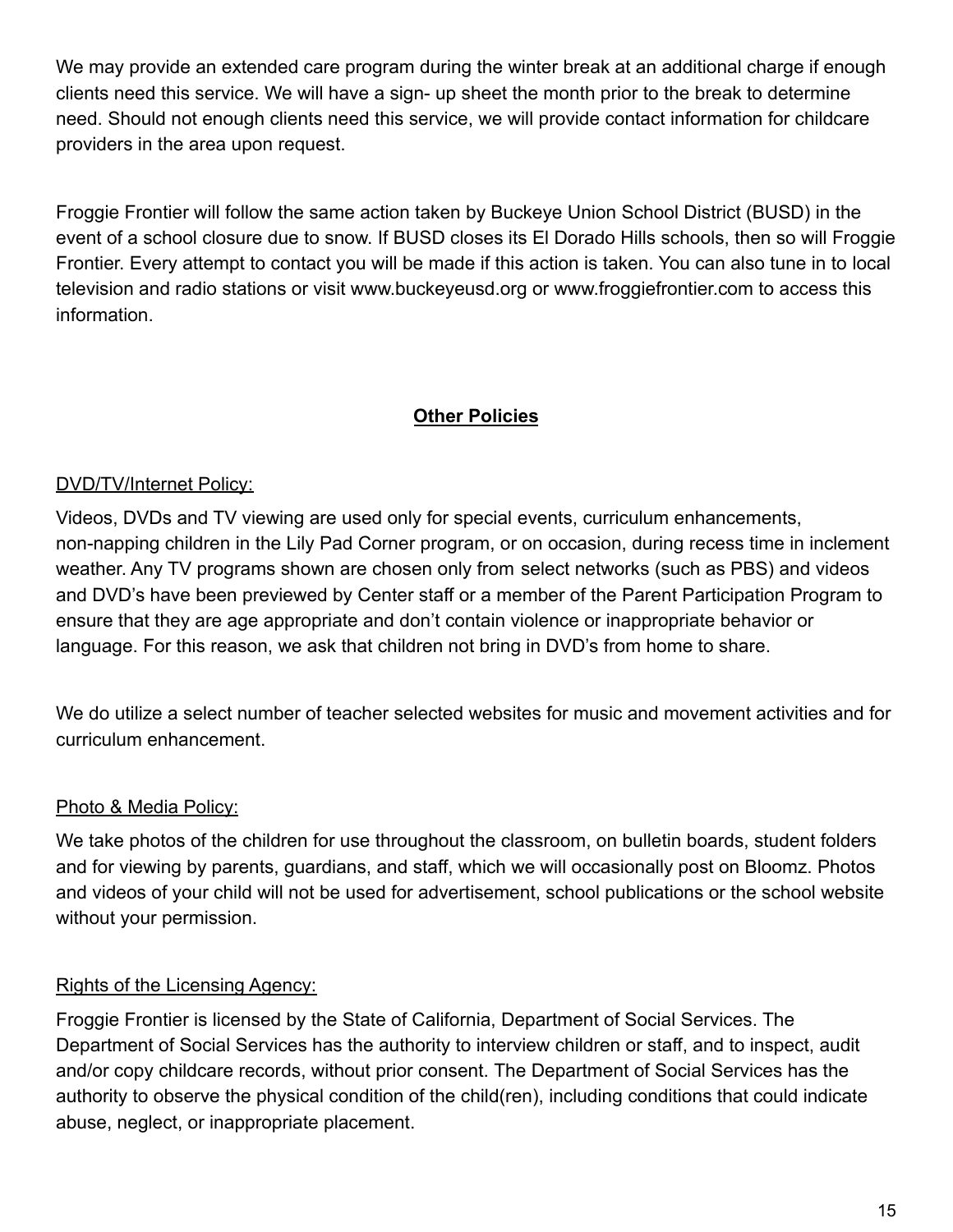We may provide an extended care program during the winter break at an additional charge if enough clients need this service. We will have a sign- up sheet the month prior to the break to determine need. Should not enough clients need this service, we will provide contact information for childcare providers in the area upon request.

Froggie Frontier will follow the same action taken by Buckeye Union School District (BUSD) in the event of a school closure due to snow. If BUSD closes its El Dorado Hills schools, then so will Froggie Frontier. Every attempt to contact you will be made if this action is taken. You can also tune in to local television and radio stations or visit www.buckeyeusd.org or www.froggiefrontier.com to access this information.

# **Other Policies**

# DVD/TV/Internet Policy:

Videos, DVDs and TV viewing are used only for special events, curriculum enhancements, non-napping children in the Lily Pad Corner program, or on occasion, during recess time in inclement weather. Any TV programs shown are chosen only from select networks (such as PBS) and videos and DVD's have been previewed by Center staff or a member of the Parent Participation Program to ensure that they are age appropriate and don't contain violence or inappropriate behavior or language. For this reason, we ask that children not bring in DVD's from home to share.

We do utilize a select number of teacher selected websites for music and movement activities and for curriculum enhancement.

# Photo & Media Policy:

We take photos of the children for use throughout the classroom, on bulletin boards, student folders and for viewing by parents, guardians, and staff, which we will occasionally post on Bloomz. Photos and videos of your child will not be used for advertisement, school publications or the school website without your permission.

# Rights of the Licensing Agency:

Froggie Frontier is licensed by the State of California, Department of Social Services. The Department of Social Services has the authority to interview children or staff, and to inspect, audit and/or copy childcare records, without prior consent. The Department of Social Services has the authority to observe the physical condition of the child(ren), including conditions that could indicate abuse, neglect, or inappropriate placement.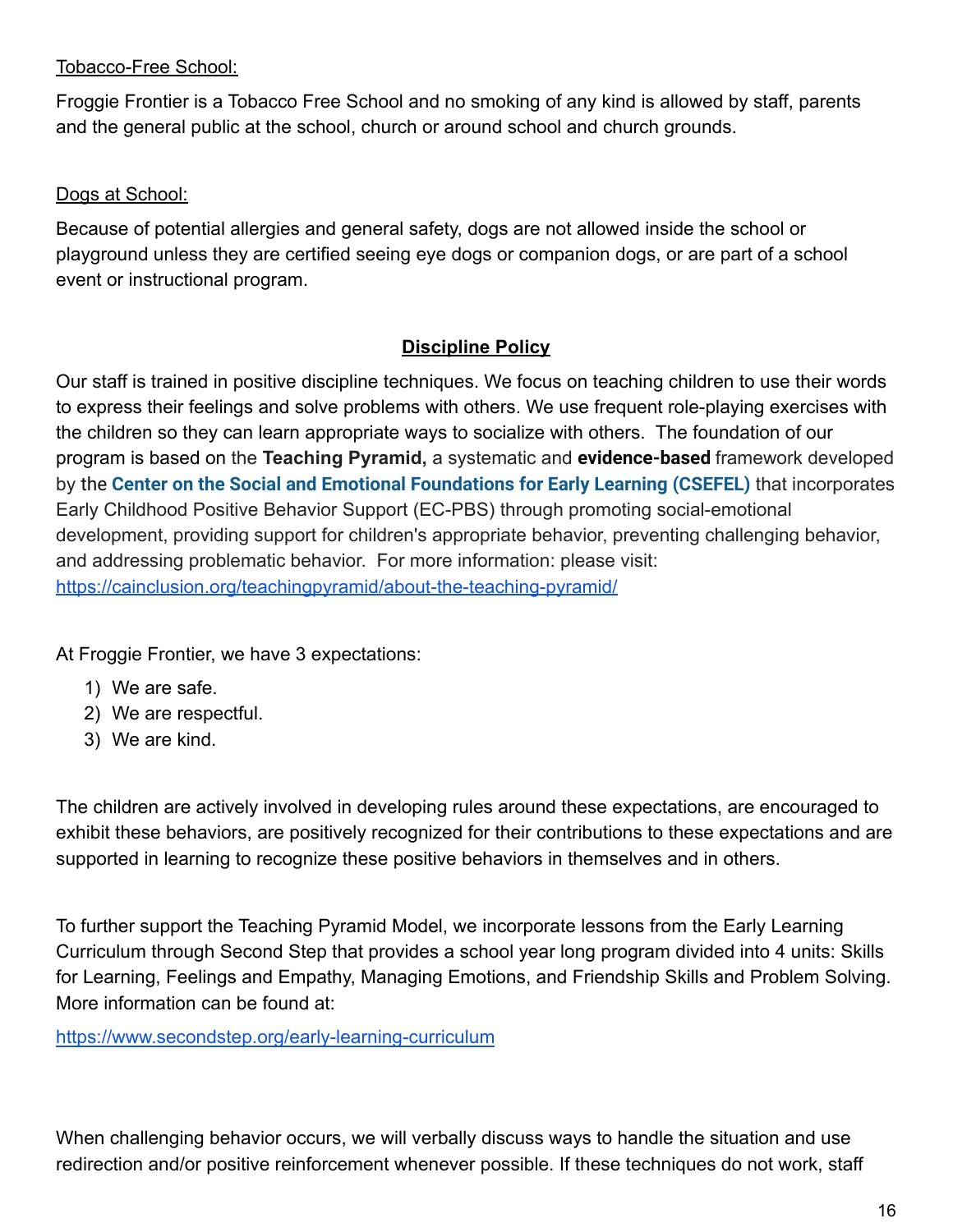## Tobacco-Free School:

Froggie Frontier is a Tobacco Free School and no smoking of any kind is allowed by staff, parents and the general public at the school, church or around school and church grounds.

## Dogs at School:

Because of potential allergies and general safety, dogs are not allowed inside the school or playground unless they are certified seeing eye dogs or companion dogs, or are part of a school event or instructional program.

# **Discipline Policy**

Our staff is trained in positive discipline techniques. We focus on teaching children to use their words to express their feelings and solve problems with others. We use frequent role-playing exercises with the children so they can learn appropriate ways to socialize with others. The foundation of our program is based on the **Teaching Pyramid,** a systematic and **evidence-based** framework developed by the **[Center on the Social and Emotional Foundations](http://csefel.vanderbilt.edu/) for Early Learning (CSEFEL)** that incorporates Early Childhood Positive Behavior Support (EC-PBS) through promoting social-emotional development, providing support for children's appropriate behavior, preventing challenging behavior, and addressing problematic behavior. For more information: please visit: <https://cainclusion.org/teachingpyramid/about-the-teaching-pyramid/>

At Froggie Frontier, we have 3 expectations:

- 1) We are safe.
- 2) We are respectful.
- 3) We are kind.

The children are actively involved in developing rules around these expectations, are encouraged to exhibit these behaviors, are positively recognized for their contributions to these expectations and are supported in learning to recognize these positive behaviors in themselves and in others.

To further support the Teaching Pyramid Model, we incorporate lessons from the Early Learning Curriculum through Second Step that provides a school year long program divided into 4 units: Skills for Learning, Feelings and Empathy, Managing Emotions, and Friendship Skills and Problem Solving. More information can be found at:

<https://www.secondstep.org/early-learning-curriculum>

When challenging behavior occurs, we will verbally discuss ways to handle the situation and use redirection and/or positive reinforcement whenever possible. If these techniques do not work, staff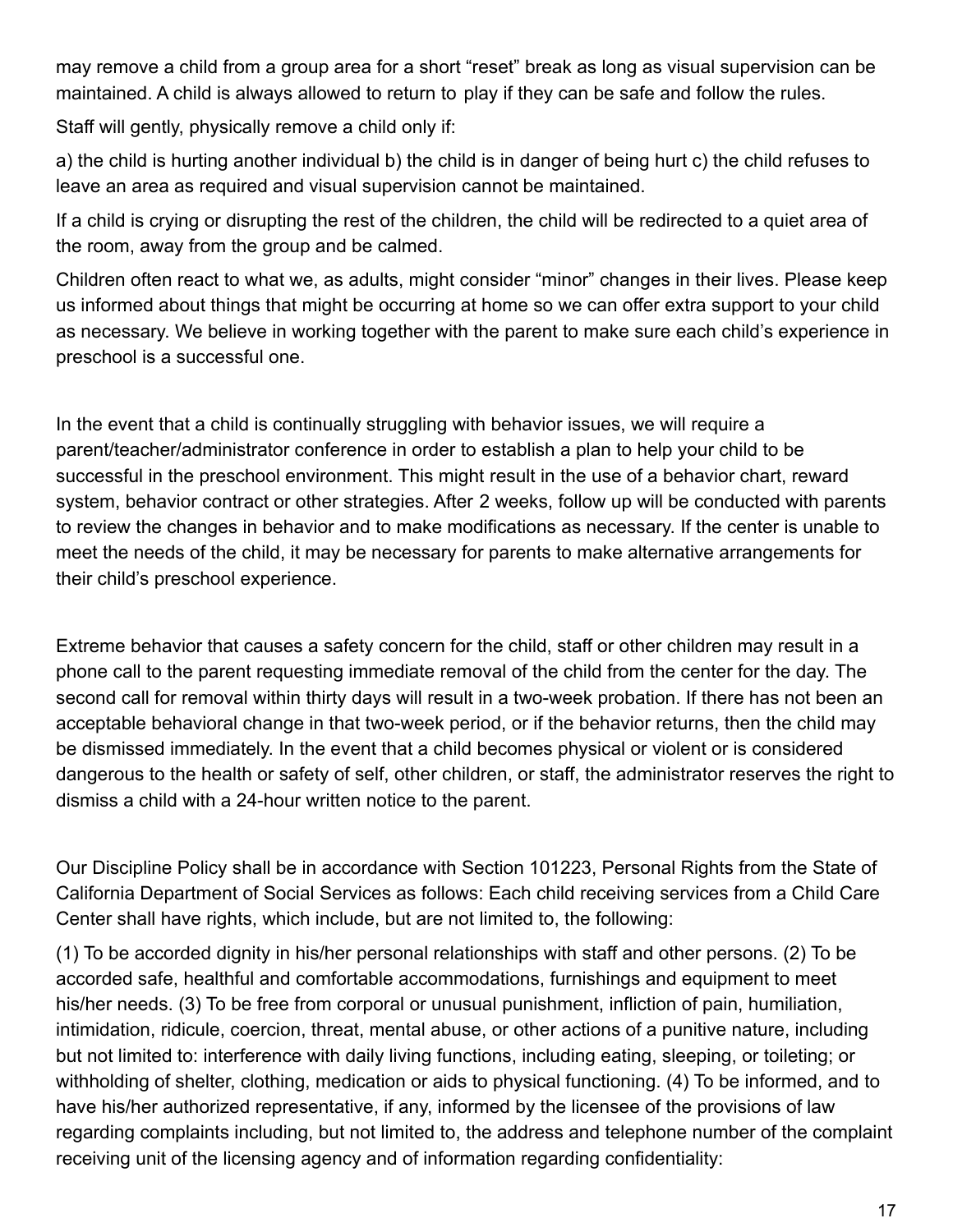may remove a child from a group area for a short "reset" break as long as visual supervision can be maintained. A child is always allowed to return to play if they can be safe and follow the rules.

Staff will gently, physically remove a child only if:

a) the child is hurting another individual b) the child is in danger of being hurt c) the child refuses to leave an area as required and visual supervision cannot be maintained.

If a child is crying or disrupting the rest of the children, the child will be redirected to a quiet area of the room, away from the group and be calmed.

Children often react to what we, as adults, might consider "minor" changes in their lives. Please keep us informed about things that might be occurring at home so we can offer extra support to your child as necessary. We believe in working together with the parent to make sure each child's experience in preschool is a successful one.

In the event that a child is continually struggling with behavior issues, we will require a parent/teacher/administrator conference in order to establish a plan to help your child to be successful in the preschool environment. This might result in the use of a behavior chart, reward system, behavior contract or other strategies. After 2 weeks, follow up will be conducted with parents to review the changes in behavior and to make modifications as necessary. If the center is unable to meet the needs of the child, it may be necessary for parents to make alternative arrangements for their child's preschool experience.

Extreme behavior that causes a safety concern for the child, staff or other children may result in a phone call to the parent requesting immediate removal of the child from the center for the day. The second call for removal within thirty days will result in a two-week probation. If there has not been an acceptable behavioral change in that two-week period, or if the behavior returns, then the child may be dismissed immediately. In the event that a child becomes physical or violent or is considered dangerous to the health or safety of self, other children, or staff, the administrator reserves the right to dismiss a child with a 24-hour written notice to the parent.

Our Discipline Policy shall be in accordance with Section 101223, Personal Rights from the State of California Department of Social Services as follows: Each child receiving services from a Child Care Center shall have rights, which include, but are not limited to, the following:

(1) To be accorded dignity in his/her personal relationships with staff and other persons. (2) To be accorded safe, healthful and comfortable accommodations, furnishings and equipment to meet his/her needs. (3) To be free from corporal or unusual punishment, infliction of pain, humiliation, intimidation, ridicule, coercion, threat, mental abuse, or other actions of a punitive nature, including but not limited to: interference with daily living functions, including eating, sleeping, or toileting; or withholding of shelter, clothing, medication or aids to physical functioning. (4) To be informed, and to have his/her authorized representative, if any, informed by the licensee of the provisions of law regarding complaints including, but not limited to, the address and telephone number of the complaint receiving unit of the licensing agency and of information regarding confidentiality: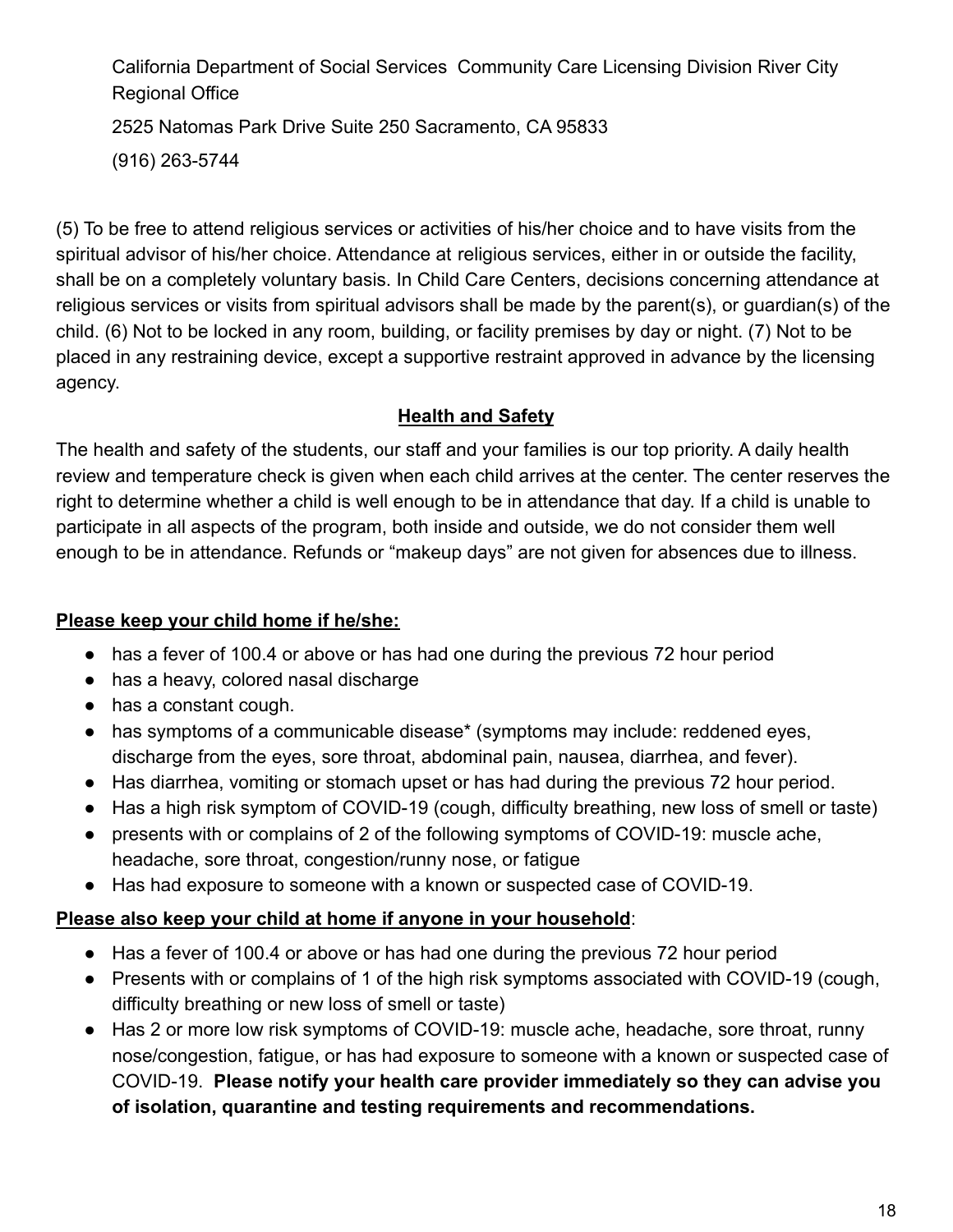California Department of Social Services Community Care Licensing Division River City Regional Office 2525 Natomas Park Drive Suite 250 Sacramento, CA 95833

(916) 263-5744

(5) To be free to attend religious services or activities of his/her choice and to have visits from the spiritual advisor of his/her choice. Attendance at religious services, either in or outside the facility, shall be on a completely voluntary basis. In Child Care Centers, decisions concerning attendance at religious services or visits from spiritual advisors shall be made by the parent(s), or guardian(s) of the child. (6) Not to be locked in any room, building, or facility premises by day or night. (7) Not to be placed in any restraining device, except a supportive restraint approved in advance by the licensing agency.

# **Health and Safety**

The health and safety of the students, our staff and your families is our top priority. A daily health review and temperature check is given when each child arrives at the center. The center reserves the right to determine whether a child is well enough to be in attendance that day. If a child is unable to participate in all aspects of the program, both inside and outside, we do not consider them well enough to be in attendance. Refunds or "makeup days" are not given for absences due to illness.

# **Please keep your child home if he/she:**

- has a fever of 100.4 or above or has had one during the previous 72 hour period
- has a heavy, colored nasal discharge
- has a constant cough.
- has symptoms of a communicable disease<sup>\*</sup> (symptoms may include: reddened eyes, discharge from the eyes, sore throat, abdominal pain, nausea, diarrhea, and fever).
- Has diarrhea, vomiting or stomach upset or has had during the previous 72 hour period.
- Has a high risk symptom of COVID-19 (cough, difficulty breathing, new loss of smell or taste)
- presents with or complains of 2 of the following symptoms of COVID-19: muscle ache, headache, sore throat, congestion/runny nose, or fatigue
- Has had exposure to someone with a known or suspected case of COVID-19.

# **Please also keep your child at home if anyone in your household**:

- Has a fever of 100.4 or above or has had one during the previous 72 hour period
- Presents with or complains of 1 of the high risk symptoms associated with COVID-19 (cough, difficulty breathing or new loss of smell or taste)
- Has 2 or more low risk symptoms of COVID-19: muscle ache, headache, sore throat, runny nose/congestion, fatigue, or has had exposure to someone with a known or suspected case of COVID-19. **Please notify your health care provider immediately so they can advise you of isolation, quarantine and testing requirements and recommendations.**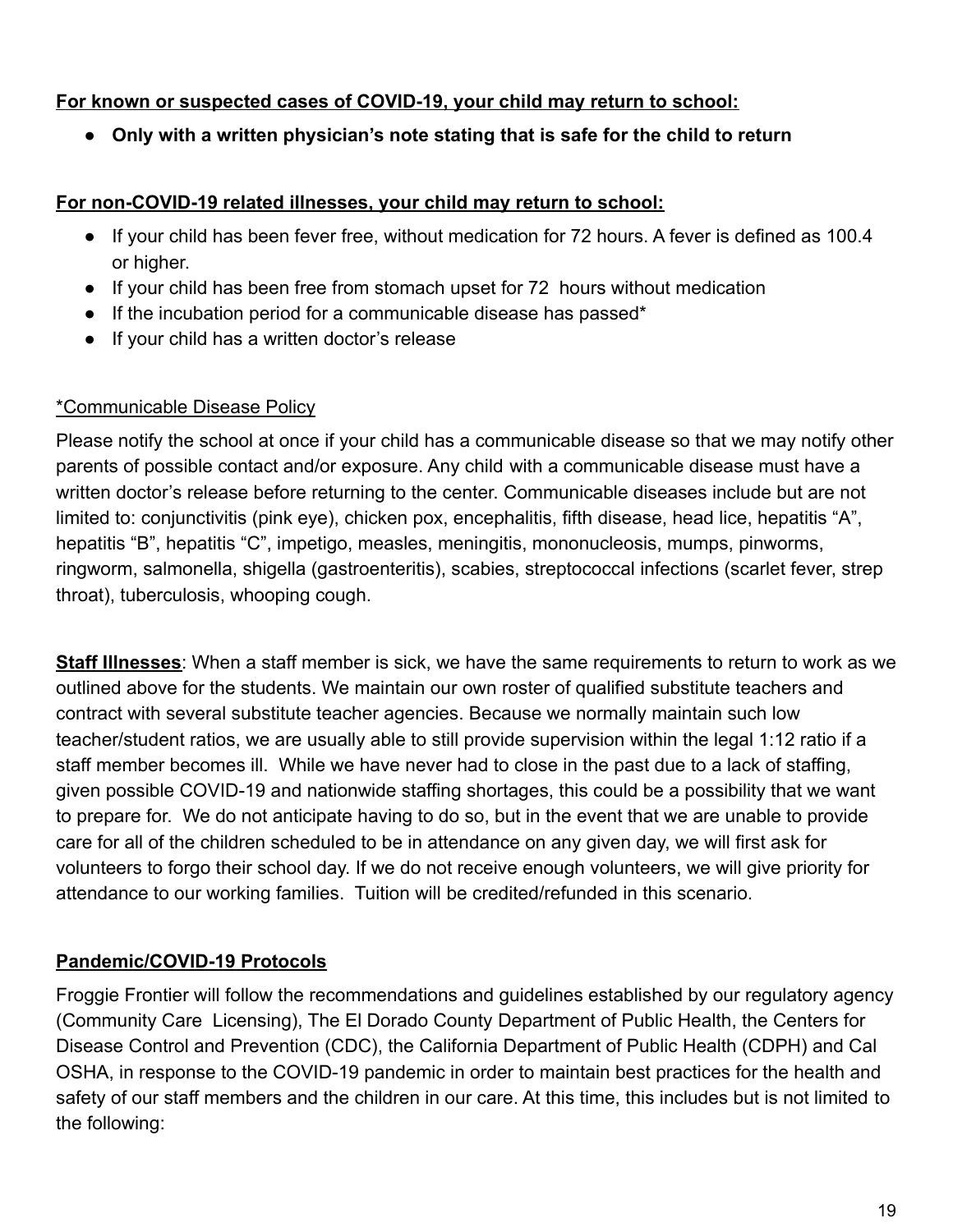# **For known or suspected cases of COVID-19, your child may return to school:**

**● Only with a written physician's note stating that is safe for the child to return**

## **For non-COVID-19 related illnesses, your child may return to school:**

- If your child has been fever free, without medication for 72 hours. A fever is defined as 100.4 or higher.
- If your child has been free from stomach upset for 72 hours without medication
- If the incubation period for a communicable disease has passed\*
- If your child has a written doctor's release

# \*Communicable Disease Policy

Please notify the school at once if your child has a communicable disease so that we may notify other parents of possible contact and/or exposure. Any child with a communicable disease must have a written doctor's release before returning to the center. Communicable diseases include but are not limited to: conjunctivitis (pink eye), chicken pox, encephalitis, fifth disease, head lice, hepatitis "A", hepatitis "B", hepatitis "C", impetigo, measles, meningitis, mononucleosis, mumps, pinworms, ringworm, salmonella, shigella (gastroenteritis), scabies, streptococcal infections (scarlet fever, strep throat), tuberculosis, whooping cough.

**Staff Illnesses**: When a staff member is sick, we have the same requirements to return to work as we outlined above for the students. We maintain our own roster of qualified substitute teachers and contract with several substitute teacher agencies. Because we normally maintain such low teacher/student ratios, we are usually able to still provide supervision within the legal 1:12 ratio if a staff member becomes ill. While we have never had to close in the past due to a lack of staffing, given possible COVID-19 and nationwide staffing shortages, this could be a possibility that we want to prepare for. We do not anticipate having to do so, but in the event that we are unable to provide care for all of the children scheduled to be in attendance on any given day, we will first ask for volunteers to forgo their school day. If we do not receive enough volunteers, we will give priority for attendance to our working families. Tuition will be credited/refunded in this scenario.

# **Pandemic/COVID-19 Protocols**

Froggie Frontier will follow the recommendations and guidelines established by our regulatory agency (Community Care Licensing), The El Dorado County Department of Public Health, the Centers for Disease Control and Prevention (CDC), the California Department of Public Health (CDPH) and Cal OSHA, in response to the COVID-19 pandemic in order to maintain best practices for the health and safety of our staff members and the children in our care. At this time, this includes but is not limited to the following: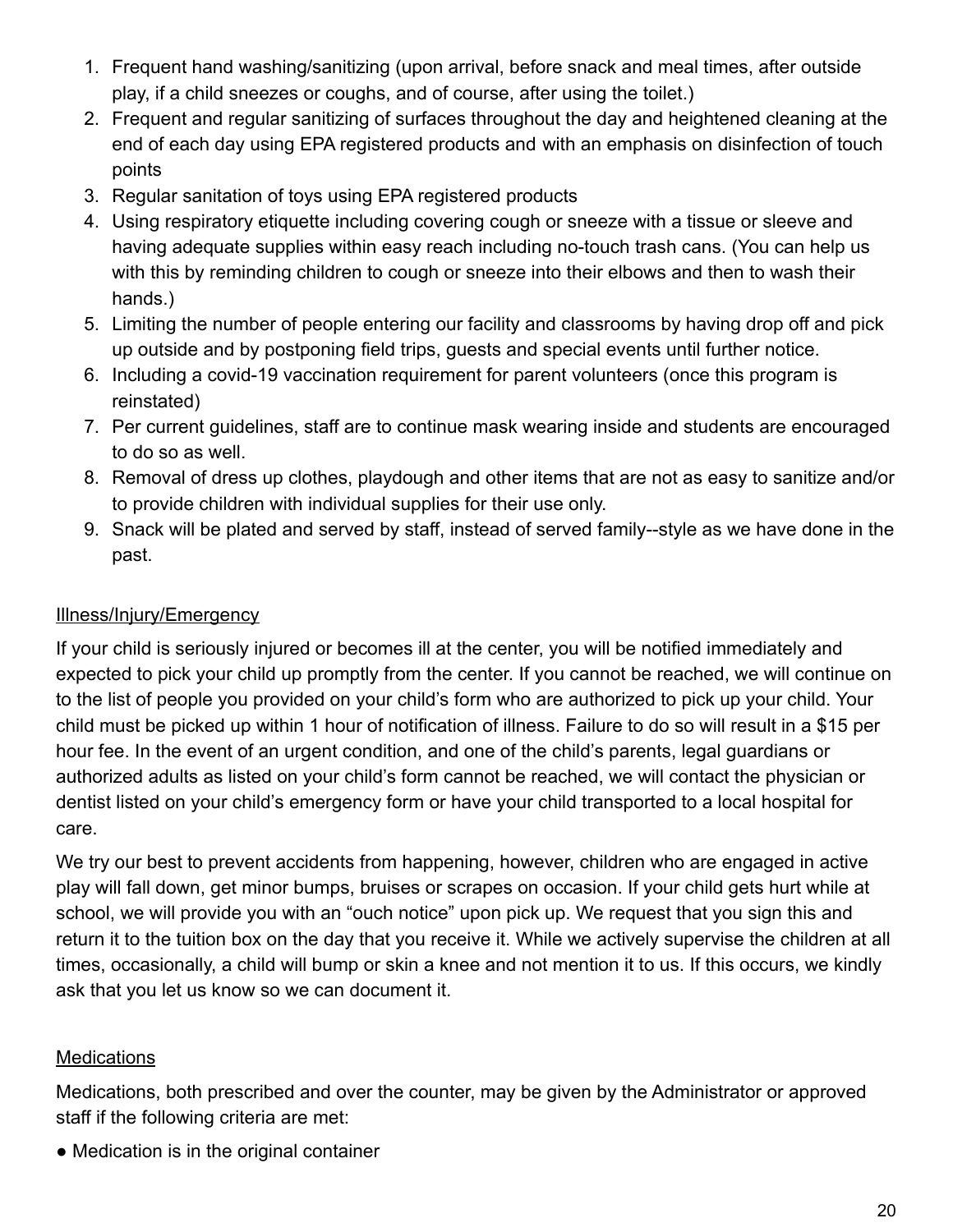- 1. Frequent hand washing/sanitizing (upon arrival, before snack and meal times, after outside play, if a child sneezes or coughs, and of course, after using the toilet.)
- 2. Frequent and regular sanitizing of surfaces throughout the day and heightened cleaning at the end of each day using EPA registered products and with an emphasis on disinfection of touch points
- 3. Regular sanitation of toys using EPA registered products
- 4. Using respiratory etiquette including covering cough or sneeze with a tissue or sleeve and having adequate supplies within easy reach including no-touch trash cans. (You can help us with this by reminding children to cough or sneeze into their elbows and then to wash their hands.)
- 5. Limiting the number of people entering our facility and classrooms by having drop off and pick up outside and by postponing field trips, guests and special events until further notice.
- 6. Including a covid-19 vaccination requirement for parent volunteers (once this program is reinstated)
- 7. Per current guidelines, staff are to continue mask wearing inside and students are encouraged to do so as well.
- 8. Removal of dress up clothes, playdough and other items that are not as easy to sanitize and/or to provide children with individual supplies for their use only.
- 9. Snack will be plated and served by staff, instead of served family--style as we have done in the past.

# Illness/Injury/Emergency

If your child is seriously injured or becomes ill at the center, you will be notified immediately and expected to pick your child up promptly from the center. If you cannot be reached, we will continue on to the list of people you provided on your child's form who are authorized to pick up your child. Your child must be picked up within 1 hour of notification of illness. Failure to do so will result in a \$15 per hour fee. In the event of an urgent condition, and one of the child's parents, legal guardians or authorized adults as listed on your child's form cannot be reached, we will contact the physician or dentist listed on your child's emergency form or have your child transported to a local hospital for care.

We try our best to prevent accidents from happening, however, children who are engaged in active play will fall down, get minor bumps, bruises or scrapes on occasion. If your child gets hurt while at school, we will provide you with an "ouch notice" upon pick up. We request that you sign this and return it to the tuition box on the day that you receive it. While we actively supervise the children at all times, occasionally, a child will bump or skin a knee and not mention it to us. If this occurs, we kindly ask that you let us know so we can document it.

# **Medications**

Medications, both prescribed and over the counter, may be given by the Administrator or approved staff if the following criteria are met:

• Medication is in the original container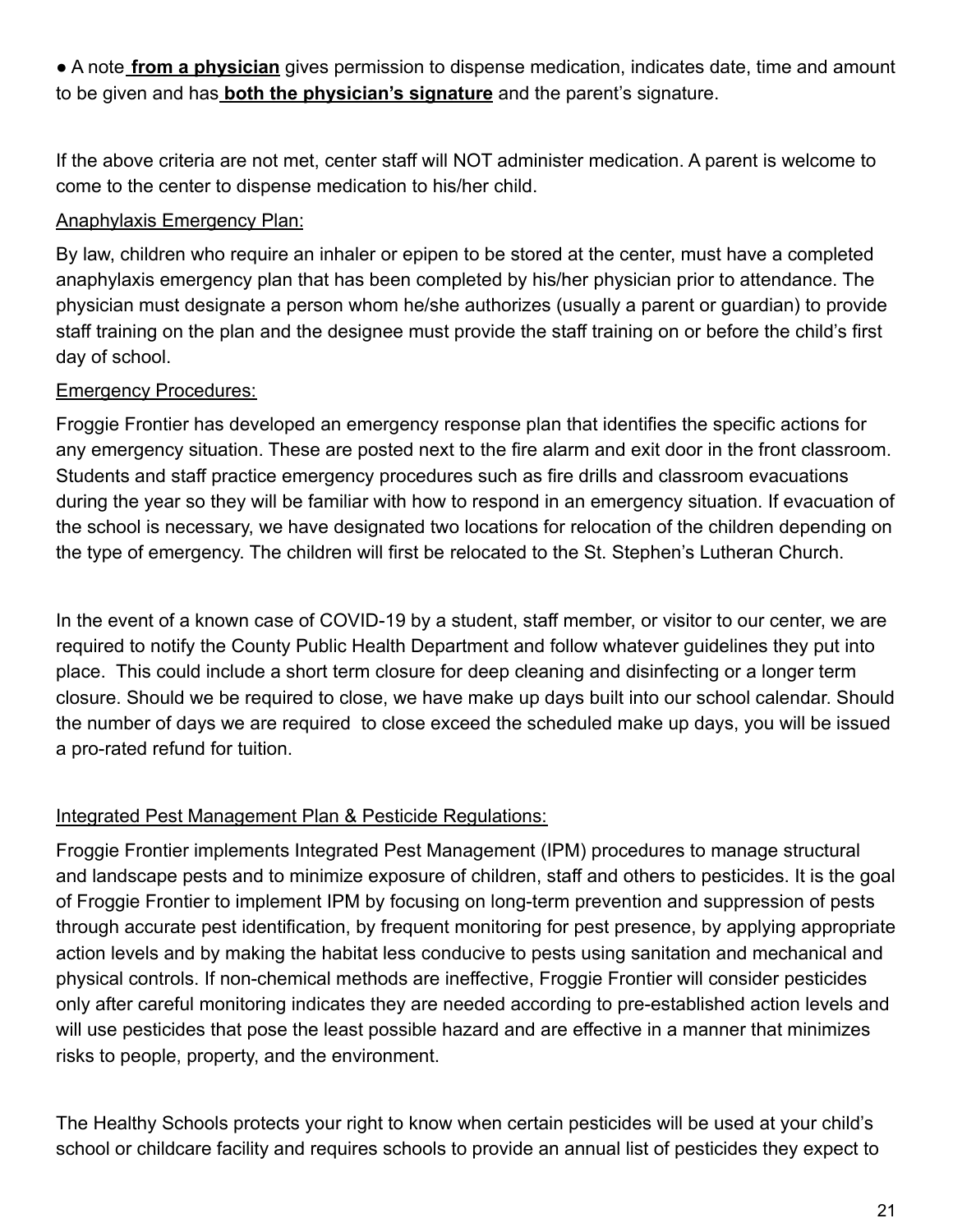● A note **from a physician** gives permission to dispense medication, indicates date, time and amount to be given and has **both the physician's signature** and the parent's signature.

If the above criteria are not met, center staff will NOT administer medication. A parent is welcome to come to the center to dispense medication to his/her child.

## Anaphylaxis Emergency Plan:

By law, children who require an inhaler or epipen to be stored at the center, must have a completed anaphylaxis emergency plan that has been completed by his/her physician prior to attendance. The physician must designate a person whom he/she authorizes (usually a parent or guardian) to provide staff training on the plan and the designee must provide the staff training on or before the child's first day of school.

# Emergency Procedures:

Froggie Frontier has developed an emergency response plan that identifies the specific actions for any emergency situation. These are posted next to the fire alarm and exit door in the front classroom. Students and staff practice emergency procedures such as fire drills and classroom evacuations during the year so they will be familiar with how to respond in an emergency situation. If evacuation of the school is necessary, we have designated two locations for relocation of the children depending on the type of emergency. The children will first be relocated to the St. Stephen's Lutheran Church.

In the event of a known case of COVID-19 by a student, staff member, or visitor to our center, we are required to notify the County Public Health Department and follow whatever guidelines they put into place. This could include a short term closure for deep cleaning and disinfecting or a longer term closure. Should we be required to close, we have make up days built into our school calendar. Should the number of days we are required to close exceed the scheduled make up days, you will be issued a pro-rated refund for tuition.

# Integrated Pest Management Plan & Pesticide Regulations:

Froggie Frontier implements Integrated Pest Management (IPM) procedures to manage structural and landscape pests and to minimize exposure of children, staff and others to pesticides. It is the goal of Froggie Frontier to implement IPM by focusing on long-term prevention and suppression of pests through accurate pest identification, by frequent monitoring for pest presence, by applying appropriate action levels and by making the habitat less conducive to pests using sanitation and mechanical and physical controls. If non-chemical methods are ineffective, Froggie Frontier will consider pesticides only after careful monitoring indicates they are needed according to pre-established action levels and will use pesticides that pose the least possible hazard and are effective in a manner that minimizes risks to people, property, and the environment.

The Healthy Schools protects your right to know when certain pesticides will be used at your child's school or childcare facility and requires schools to provide an annual list of pesticides they expect to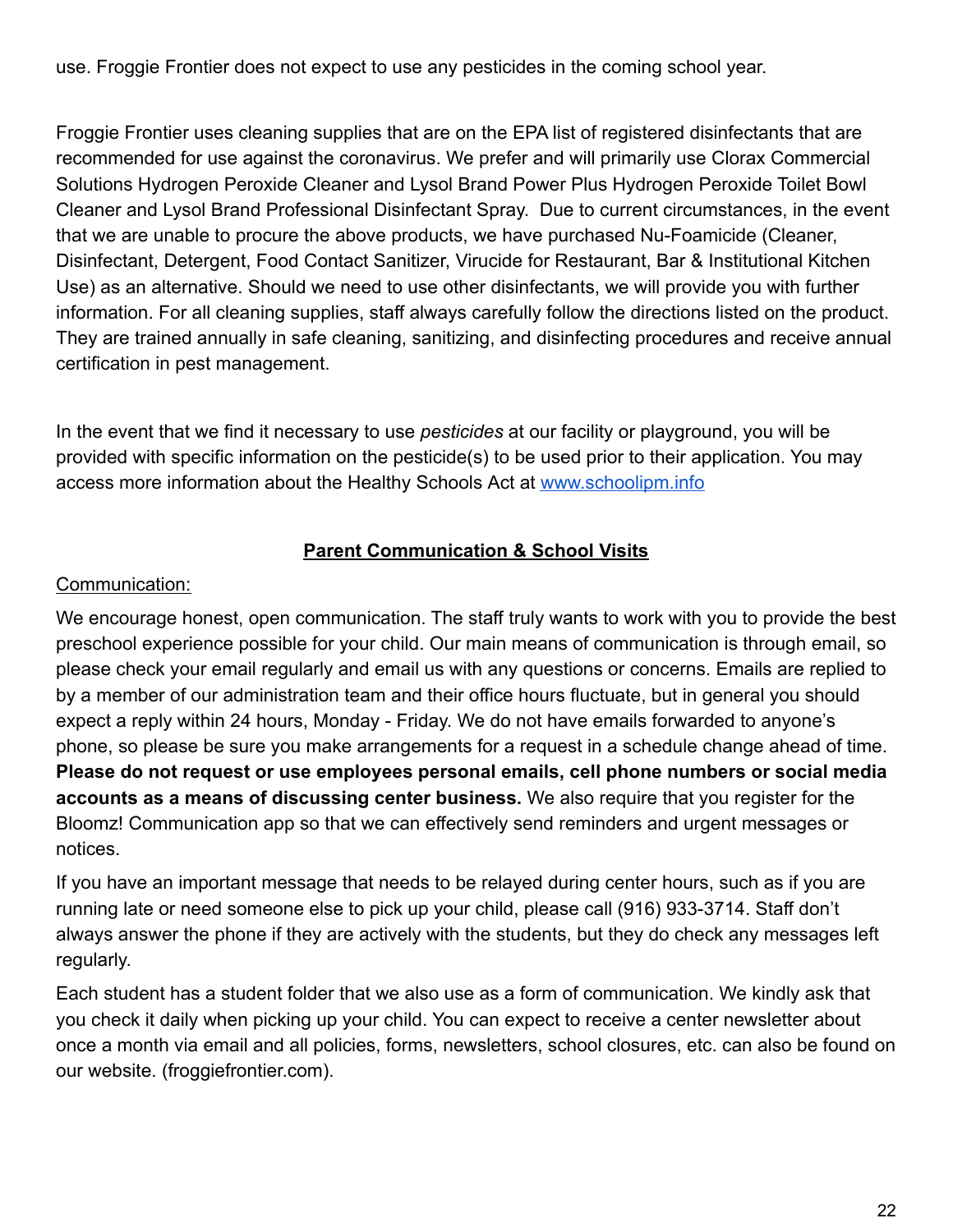use. Froggie Frontier does not expect to use any pesticides in the coming school year.

Froggie Frontier uses cleaning supplies that are on the EPA list of registered disinfectants that are recommended for use against the coronavirus. We prefer and will primarily use Clorax Commercial Solutions Hydrogen Peroxide Cleaner and Lysol Brand Power Plus Hydrogen Peroxide Toilet Bowl Cleaner and Lysol Brand Professional Disinfectant Spray. Due to current circumstances, in the event that we are unable to procure the above products, we have purchased Nu-Foamicide (Cleaner, Disinfectant, Detergent, Food Contact Sanitizer, Virucide for Restaurant, Bar & Institutional Kitchen Use) as an alternative. Should we need to use other disinfectants, we will provide you with further information. For all cleaning supplies, staff always carefully follow the directions listed on the product. They are trained annually in safe cleaning, sanitizing, and disinfecting procedures and receive annual certification in pest management.

In the event that we find it necessary to use *pesticides* at our facility or playground, you will be provided with specific information on the pesticide(s) to be used prior to their application. You may access more information about the Healthy Schools Act at [www.schoolipm.info](http://www.schoolipm.info)

## **Parent Communication & School Visits**

## Communication:

We encourage honest, open communication. The staff truly wants to work with you to provide the best preschool experience possible for your child. Our main means of communication is through email, so please check your email regularly and email us with any questions or concerns. Emails are replied to by a member of our administration team and their office hours fluctuate, but in general you should expect a reply within 24 hours, Monday - Friday. We do not have emails forwarded to anyone's phone, so please be sure you make arrangements for a request in a schedule change ahead of time. **Please do not request or use employees personal emails, cell phone numbers or social media accounts as a means of discussing center business.** We also require that you register for the Bloomz! Communication app so that we can effectively send reminders and urgent messages or notices.

If you have an important message that needs to be relayed during center hours, such as if you are running late or need someone else to pick up your child, please call (916) 933-3714. Staff don't always answer the phone if they are actively with the students, but they do check any messages left regularly.

Each student has a student folder that we also use as a form of communication. We kindly ask that you check it daily when picking up your child. You can expect to receive a center newsletter about once a month via email and all policies, forms, newsletters, school closures, etc. can also be found on our website. (froggiefrontier.com).